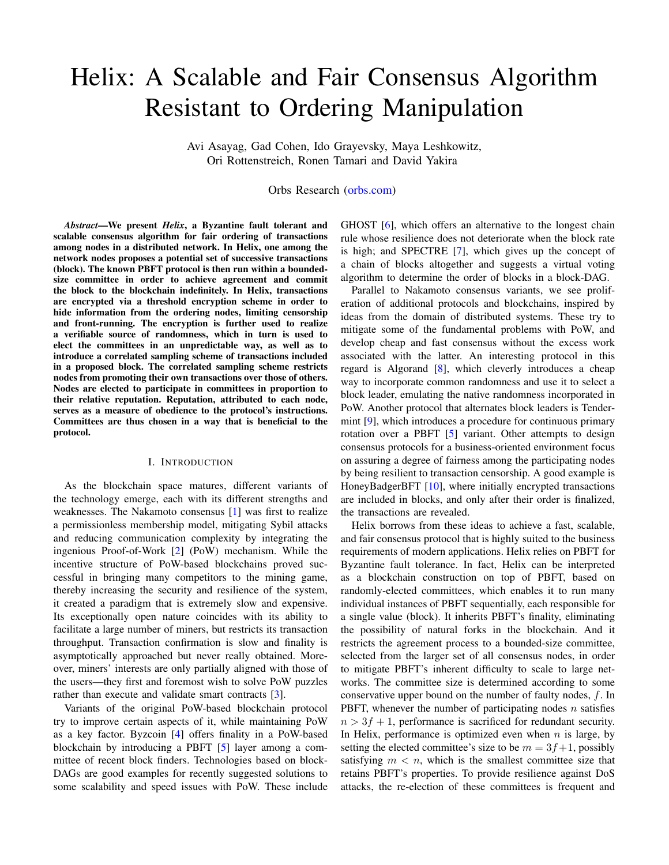# Helix: A Scalable and Fair Consensus Algorithm Resistant to Ordering Manipulation

Avi Asayag, Gad Cohen, Ido Grayevsky, Maya Leshkowitz, Ori Rottenstreich, Ronen Tamari and David Yakira

Orbs Research [\(orbs.com\)](www.orbs.com)

*Abstract*—We present *Helix*, a Byzantine fault tolerant and scalable consensus algorithm for fair ordering of transactions among nodes in a distributed network. In Helix, one among the network nodes proposes a potential set of successive transactions (block). The known PBFT protocol is then run within a boundedsize committee in order to achieve agreement and commit the block to the blockchain indefinitely. In Helix, transactions are encrypted via a threshold encryption scheme in order to hide information from the ordering nodes, limiting censorship and front-running. The encryption is further used to realize a verifiable source of randomness, which in turn is used to elect the committees in an unpredictable way, as well as to introduce a correlated sampling scheme of transactions included in a proposed block. The correlated sampling scheme restricts nodes from promoting their own transactions over those of others. Nodes are elected to participate in committees in proportion to their relative reputation. Reputation, attributed to each node, serves as a measure of obedience to the protocol's instructions. Committees are thus chosen in a way that is beneficial to the protocol.

#### I. INTRODUCTION

As the blockchain space matures, different variants of the technology emerge, each with its different strengths and weaknesses. The Nakamoto consensus [\[1\]](#page-21-0) was first to realize a permissionless membership model, mitigating Sybil attacks and reducing communication complexity by integrating the ingenious Proof-of-Work [\[2\]](#page-21-1) (PoW) mechanism. While the incentive structure of PoW-based blockchains proved successful in bringing many competitors to the mining game, thereby increasing the security and resilience of the system, it created a paradigm that is extremely slow and expensive. Its exceptionally open nature coincides with its ability to facilitate a large number of miners, but restricts its transaction throughput. Transaction confirmation is slow and finality is asymptotically approached but never really obtained. Moreover, miners' interests are only partially aligned with those of the users—they first and foremost wish to solve PoW puzzles rather than execute and validate smart contracts [\[3\]](#page-21-2).

Variants of the original PoW-based blockchain protocol try to improve certain aspects of it, while maintaining PoW as a key factor. Byzcoin [\[4\]](#page-21-3) offers finality in a PoW-based blockchain by introducing a PBFT [\[5\]](#page-21-4) layer among a committee of recent block finders. Technologies based on block-DAGs are good examples for recently suggested solutions to some scalability and speed issues with PoW. These include GHOST [\[6\]](#page-21-5), which offers an alternative to the longest chain rule whose resilience does not deteriorate when the block rate is high; and SPECTRE [\[7\]](#page-21-6), which gives up the concept of a chain of blocks altogether and suggests a virtual voting algorithm to determine the order of blocks in a block-DAG.

Parallel to Nakamoto consensus variants, we see proliferation of additional protocols and blockchains, inspired by ideas from the domain of distributed systems. These try to mitigate some of the fundamental problems with PoW, and develop cheap and fast consensus without the excess work associated with the latter. An interesting protocol in this regard is Algorand [\[8\]](#page-21-7), which cleverly introduces a cheap way to incorporate common randomness and use it to select a block leader, emulating the native randomness incorporated in PoW. Another protocol that alternates block leaders is Tendermint [\[9\]](#page-21-8), which introduces a procedure for continuous primary rotation over a PBFT [\[5\]](#page-21-4) variant. Other attempts to design consensus protocols for a business-oriented environment focus on assuring a degree of fairness among the participating nodes by being resilient to transaction censorship. A good example is HoneyBadgerBFT [\[10\]](#page-21-9), where initially encrypted transactions are included in blocks, and only after their order is finalized, the transactions are revealed.

Helix borrows from these ideas to achieve a fast, scalable, and fair consensus protocol that is highly suited to the business requirements of modern applications. Helix relies on PBFT for Byzantine fault tolerance. In fact, Helix can be interpreted as a blockchain construction on top of PBFT, based on randomly-elected committees, which enables it to run many individual instances of PBFT sequentially, each responsible for a single value (block). It inherits PBFT's finality, eliminating the possibility of natural forks in the blockchain. And it restricts the agreement process to a bounded-size committee, selected from the larger set of all consensus nodes, in order to mitigate PBFT's inherent difficulty to scale to large networks. The committee size is determined according to some conservative upper bound on the number of faulty nodes, f. In PBFT, whenever the number of participating nodes  $n$  satisfies  $n > 3f + 1$ , performance is sacrificed for redundant security. In Helix, performance is optimized even when  $n$  is large, by setting the elected committee's size to be  $m = 3f+1$ , possibly satisfying  $m < n$ , which is the smallest committee size that retains PBFT's properties. To provide resilience against DoS attacks, the re-election of these committees is frequent and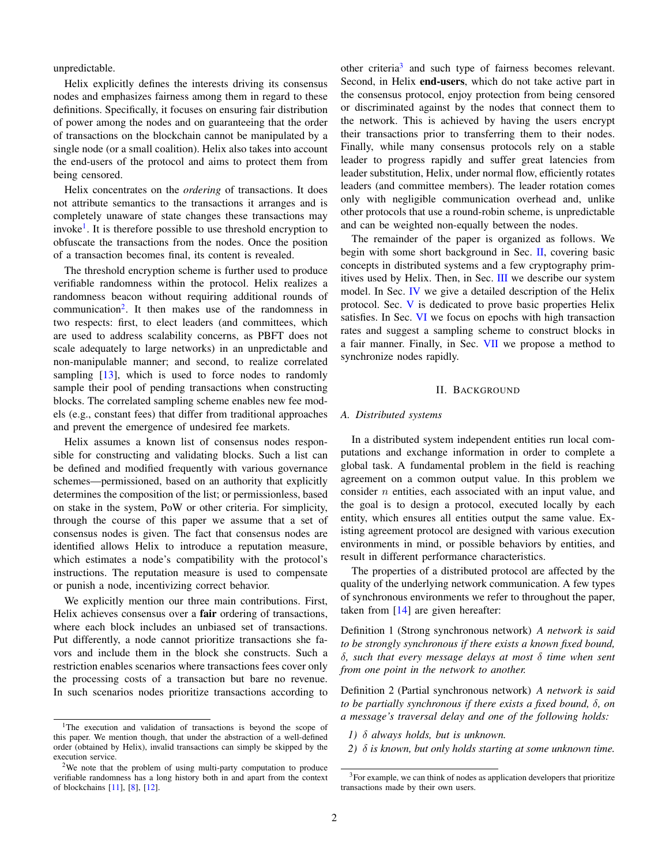unpredictable.

Helix explicitly defines the interests driving its consensus nodes and emphasizes fairness among them in regard to these definitions. Specifically, it focuses on ensuring fair distribution of power among the nodes and on guaranteeing that the order of transactions on the blockchain cannot be manipulated by a single node (or a small coalition). Helix also takes into account the end-users of the protocol and aims to protect them from being censored.

Helix concentrates on the *ordering* of transactions. It does not attribute semantics to the transactions it arranges and is completely unaware of state changes these transactions may invoke<sup>[1](#page-1-0)</sup>. It is therefore possible to use threshold encryption to obfuscate the transactions from the nodes. Once the position of a transaction becomes final, its content is revealed.

The threshold encryption scheme is further used to produce verifiable randomness within the protocol. Helix realizes a randomness beacon without requiring additional rounds of communication<sup>[2](#page-1-1)</sup>. It then makes use of the randomness in two respects: first, to elect leaders (and committees, which are used to address scalability concerns, as PBFT does not scale adequately to large networks) in an unpredictable and non-manipulable manner; and second, to realize correlated sampling  $[13]$ , which is used to force nodes to randomly sample their pool of pending transactions when constructing blocks. The correlated sampling scheme enables new fee models (e.g., constant fees) that differ from traditional approaches and prevent the emergence of undesired fee markets.

Helix assumes a known list of consensus nodes responsible for constructing and validating blocks. Such a list can be defined and modified frequently with various governance schemes—permissioned, based on an authority that explicitly determines the composition of the list; or permissionless, based on stake in the system, PoW or other criteria. For simplicity, through the course of this paper we assume that a set of consensus nodes is given. The fact that consensus nodes are identified allows Helix to introduce a reputation measure, which estimates a node's compatibility with the protocol's instructions. The reputation measure is used to compensate or punish a node, incentivizing correct behavior.

We explicitly mention our three main contributions. First, Helix achieves consensus over a **fair** ordering of transactions, where each block includes an unbiased set of transactions. Put differently, a node cannot prioritize transactions she favors and include them in the block she constructs. Such a restriction enables scenarios where transactions fees cover only the processing costs of a transaction but bare no revenue. In such scenarios nodes prioritize transactions according to

other criteria<sup>[3](#page-1-2)</sup> and such type of fairness becomes relevant. Second, in Helix end-users, which do not take active part in the consensus protocol, enjoy protection from being censored or discriminated against by the nodes that connect them to the network. This is achieved by having the users encrypt their transactions prior to transferring them to their nodes. Finally, while many consensus protocols rely on a stable leader to progress rapidly and suffer great latencies from leader substitution, Helix, under normal flow, efficiently rotates leaders (and committee members). The leader rotation comes only with negligible communication overhead and, unlike other protocols that use a round-robin scheme, is unpredictable and can be weighted non-equally between the nodes.

The remainder of the paper is organized as follows. We begin with some short background in Sec. [II,](#page-1-3) covering basic concepts in distributed systems and a few cryptography primitives used by Helix. Then, in Sec. [III](#page-3-0) we describe our system model. In Sec. [IV](#page-5-0) we give a detailed description of the Helix protocol. Sec. [V](#page-11-0) is dedicated to prove basic properties Helix satisfies. In Sec. [VI](#page-15-0) we focus on epochs with high transaction rates and suggest a sampling scheme to construct blocks in a fair manner. Finally, in Sec. [VII](#page-19-0) we propose a method to synchronize nodes rapidly.

## II. BACKGROUND

## <span id="page-1-3"></span>*A. Distributed systems*

In a distributed system independent entities run local computations and exchange information in order to complete a global task. A fundamental problem in the field is reaching agreement on a common output value. In this problem we consider  $n$  entities, each associated with an input value, and the goal is to design a protocol, executed locally by each entity, which ensures all entities output the same value. Existing agreement protocol are designed with various execution environments in mind, or possible behaviors by entities, and result in different performance characteristics.

The properties of a distributed protocol are affected by the quality of the underlying network communication. A few types of synchronous environments we refer to throughout the paper, taken from [\[14\]](#page-21-13) are given hereafter:

Definition 1 (Strong synchronous network) *A network is said to be strongly synchronous if there exists a known fixed bound,* δ*, such that every message delays at most* δ *time when sent from one point in the network to another.*

Definition 2 (Partial synchronous network) *A network is said to be partially synchronous if there exists a fixed bound,* δ*, on a message's traversal delay and one of the following holds:*

- *1)* δ *always holds, but is unknown.*
- *2)* δ *is known, but only holds starting at some unknown time.*

<span id="page-1-0"></span><sup>&</sup>lt;sup>1</sup>The execution and validation of transactions is beyond the scope of this paper. We mention though, that under the abstraction of a well-defined order (obtained by Helix), invalid transactions can simply be skipped by the execution service.

<span id="page-1-1"></span> $2$ We note that the problem of using multi-party computation to produce verifiable randomness has a long history both in and apart from the context of blockchains [\[11\]](#page-21-11), [\[8\]](#page-21-7), [\[12\]](#page-21-12).

<span id="page-1-2"></span><sup>3</sup>For example, we can think of nodes as application developers that prioritize transactions made by their own users.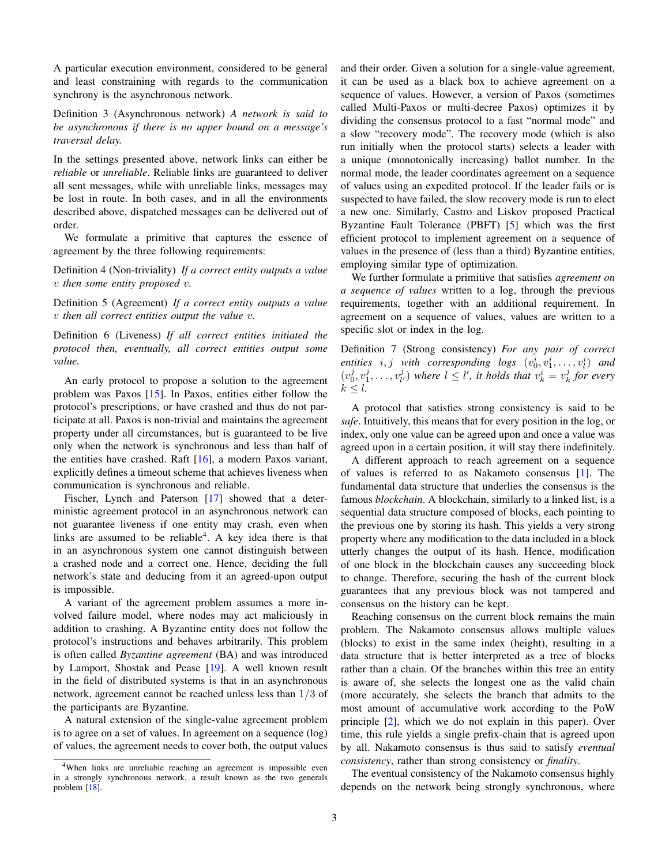A particular execution environment, considered to be general and least constraining with regards to the communication synchrony is the asynchronous network.

Definition 3 (Asynchronous network) *A network is said to be asynchronous if there is no upper bound on a message's traversal delay.*

In the settings presented above, network links can either be *reliable* or *unreliable*. Reliable links are guaranteed to deliver all sent messages, while with unreliable links, messages may be lost in route. In both cases, and in all the environments described above, dispatched messages can be delivered out of order.

We formulate a primitive that captures the essence of agreement by the three following requirements:

Definition 4 (Non-triviality) *If a correct entity outputs a value* v *then some entity proposed* v*.*

Definition 5 (Agreement) *If a correct entity outputs a value* v *then all correct entities output the value* v*.*

Definition 6 (Liveness) *If all correct entities initiated the protocol then, eventually, all correct entities output some value.*

An early protocol to propose a solution to the agreement problem was Paxos [\[15\]](#page-21-14). In Paxos, entities either follow the protocol's prescriptions, or have crashed and thus do not participate at all. Paxos is non-trivial and maintains the agreement property under all circumstances, but is guaranteed to be live only when the network is synchronous and less than half of the entities have crashed. Raft  $[16]$ , a modern Paxos variant, explicitly defines a timeout scheme that achieves liveness when communication is synchronous and reliable.

Fischer, Lynch and Paterson [\[17\]](#page-21-16) showed that a deterministic agreement protocol in an asynchronous network can not guarantee liveness if one entity may crash, even when links are assumed to be reliable<sup>[4](#page-2-0)</sup>. A key idea there is that in an asynchronous system one cannot distinguish between a crashed node and a correct one. Hence, deciding the full network's state and deducing from it an agreed-upon output is impossible.

A variant of the agreement problem assumes a more involved failure model, where nodes may act maliciously in addition to crashing. A Byzantine entity does not follow the protocol's instructions and behaves arbitrarily. This problem is often called *Byzantine agreement* (BA) and was introduced by Lamport, Shostak and Pease [\[19\]](#page-21-17). A well known result in the field of distributed systems is that in an asynchronous network, agreement cannot be reached unless less than 1/3 of the participants are Byzantine.

A natural extension of the single-value agreement problem is to agree on a set of values. In agreement on a sequence (log) of values, the agreement needs to cover both, the output values and their order. Given a solution for a single-value agreement, it can be used as a black box to achieve agreement on a sequence of values. However, a version of Paxos (sometimes called Multi-Paxos or multi-decree Paxos) optimizes it by dividing the consensus protocol to a fast "normal mode" and a slow "recovery mode". The recovery mode (which is also run initially when the protocol starts) selects a leader with a unique (monotonically increasing) ballot number. In the normal mode, the leader coordinates agreement on a sequence of values using an expedited protocol. If the leader fails or is suspected to have failed, the slow recovery mode is run to elect a new one. Similarly, Castro and Liskov proposed Practical Byzantine Fault Tolerance (PBFT) [\[5\]](#page-21-4) which was the first efficient protocol to implement agreement on a sequence of values in the presence of (less than a third) Byzantine entities, employing similar type of optimization.

We further formulate a primitive that satisfies *agreement on a sequence of values* written to a log, through the previous requirements, together with an additional requirement. In agreement on a sequence of values, values are written to a specific slot or index in the log.

Definition 7 (Strong consistency) *For any pair of correct entities*  $i, j$  with corresponding logs  $(v_0^i, v_1^i, \ldots, v_l^i)$  and  $(v_0^j, v_1^j, \ldots, v_{l'}^j)$  where  $l \leq l'$ , it holds that  $v_k^i = v_k^j$  for every  $k \leq l$ .

A protocol that satisfies strong consistency is said to be *safe*. Intuitively, this means that for every position in the log, or index, only one value can be agreed upon and once a value was agreed upon in a certain position, it will stay there indefinitely.

A different approach to reach agreement on a sequence of values is referred to as Nakamoto consensus [\[1\]](#page-21-0). The fundamental data structure that underlies the consensus is the famous *blockchain*. A blockchain, similarly to a linked list, is a sequential data structure composed of blocks, each pointing to the previous one by storing its hash. This yields a very strong property where any modification to the data included in a block utterly changes the output of its hash. Hence, modification of one block in the blockchain causes any succeeding block to change. Therefore, securing the hash of the current block guarantees that any previous block was not tampered and consensus on the history can be kept.

Reaching consensus on the current block remains the main problem. The Nakamoto consensus allows multiple values (blocks) to exist in the same index (height), resulting in a data structure that is better interpreted as a tree of blocks rather than a chain. Of the branches within this tree an entity is aware of, she selects the longest one as the valid chain (more accurately, she selects the branch that admits to the most amount of accumulative work according to the PoW principle [\[2\]](#page-21-1), which we do not explain in this paper). Over time, this rule yields a single prefix-chain that is agreed upon by all. Nakamoto consensus is thus said to satisfy *eventual consistency*, rather than strong consistency or *finality*.

The eventual consistency of the Nakamoto consensus highly depends on the network being strongly synchronous, where

<span id="page-2-0"></span><sup>4</sup>When links are unreliable reaching an agreement is impossible even in a strongly synchronous network, a result known as the two generals problem [\[18\]](#page-21-18).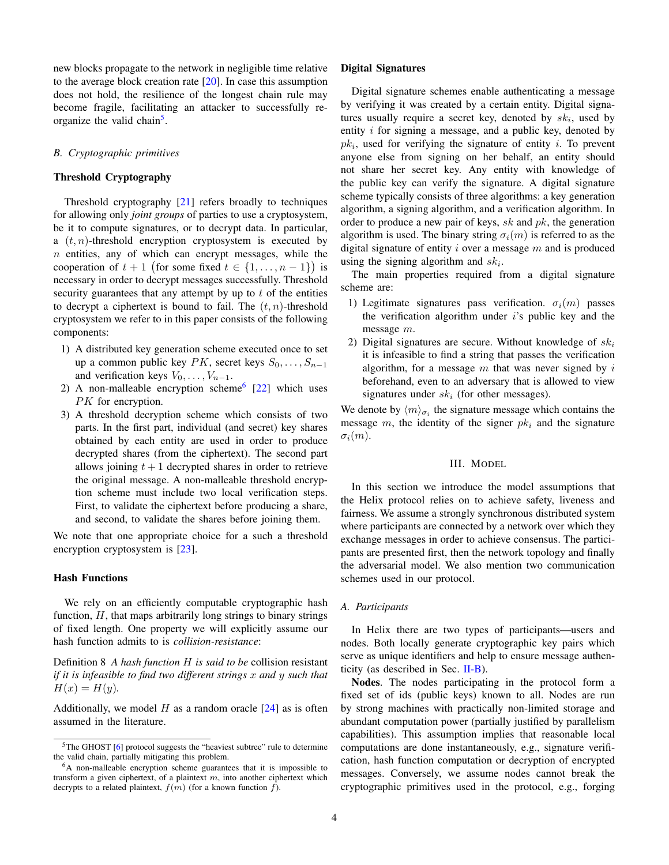new blocks propagate to the network in negligible time relative to the average block creation rate [\[20\]](#page-21-19). In case this assumption does not hold, the resilience of the longest chain rule may become fragile, facilitating an attacker to successfully re-organize the valid chain<sup>[5](#page-3-1)</sup>.

# *B. Cryptographic primitives*

## Threshold Cryptography

Threshold cryptography [\[21\]](#page-21-20) refers broadly to techniques for allowing only *joint groups* of parties to use a cryptosystem, be it to compute signatures, or to decrypt data. In particular, a  $(t, n)$ -threshold encryption cryptosystem is executed by  $n$  entities, any of which can encrypt messages, while the cooperation of  $t + 1$  (for some fixed  $t \in \{1, ..., n-1\}$ ) is necessary in order to decrypt messages successfully. Threshold security guarantees that any attempt by up to  $t$  of the entities to decrypt a ciphertext is bound to fail. The  $(t, n)$ -threshold cryptosystem we refer to in this paper consists of the following components:

- 1) A distributed key generation scheme executed once to set up a common public key  $PK$ , secret keys  $S_0, \ldots, S_{n-1}$ and verification keys  $V_0, \ldots, V_{n-1}$ .
- 2) A non-malleable encryption scheme<sup>[6](#page-3-2)</sup> [\[22\]](#page-21-21) which uses PK for encryption.
- 3) A threshold decryption scheme which consists of two parts. In the first part, individual (and secret) key shares obtained by each entity are used in order to produce decrypted shares (from the ciphertext). The second part allows joining  $t + 1$  decrypted shares in order to retrieve the original message. A non-malleable threshold encryption scheme must include two local verification steps. First, to validate the ciphertext before producing a share, and second, to validate the shares before joining them.

We note that one appropriate choice for a such a threshold encryption cryptosystem is [\[23\]](#page-21-22).

# Hash Functions

We rely on an efficiently computable cryptographic hash function,  $H$ , that maps arbitrarily long strings to binary strings of fixed length. One property we will explicitly assume our hash function admits to is *collision-resistance*:

<span id="page-3-3"></span>Definition 8 *A hash function* H *is said to be* collision resistant *if it is infeasible to find two different strings* x *and* y *such that*  $H(x) = H(y)$ .

Additionally, we model  $H$  as a random oracle  $[24]$  as is often assumed in the literature.

## Digital Signatures

Digital signature schemes enable authenticating a message by verifying it was created by a certain entity. Digital signatures usually require a secret key, denoted by  $sk_i$ , used by entity  $i$  for signing a message, and a public key, denoted by  $pk<sub>i</sub>$ , used for verifying the signature of entity *i*. To prevent anyone else from signing on her behalf, an entity should not share her secret key. Any entity with knowledge of the public key can verify the signature. A digital signature scheme typically consists of three algorithms: a key generation algorithm, a signing algorithm, and a verification algorithm. In order to produce a new pair of keys,  $sk$  and  $pk$ , the generation algorithm is used. The binary string  $\sigma_i(m)$  is referred to as the digital signature of entity i over a message  $m$  and is produced using the signing algorithm and  $sk_i$ .

The main properties required from a digital signature scheme are:

- 1) Legitimate signatures pass verification.  $\sigma_i(m)$  passes the verification algorithm under  $i$ 's public key and the message m.
- 2) Digital signatures are secure. Without knowledge of  $sk_i$ it is infeasible to find a string that passes the verification algorithm, for a message  $m$  that was never signed by  $i$ beforehand, even to an adversary that is allowed to view signatures under  $sk_i$  (for other messages).

We denote by  $\langle m \rangle_{\sigma_i}$  the signature message which contains the message m, the identity of the signer  $pk_i$  and the signature  $\sigma_i(m)$ .

#### III. MODEL

<span id="page-3-0"></span>In this section we introduce the model assumptions that the Helix protocol relies on to achieve safety, liveness and fairness. We assume a strongly synchronous distributed system where participants are connected by a network over which they exchange messages in order to achieve consensus. The participants are presented first, then the network topology and finally the adversarial model. We also mention two communication schemes used in our protocol.

# *A. Participants*

In Helix there are two types of participants—users and nodes. Both locally generate cryptographic key pairs which serve as unique identifiers and help to ensure message authenticity (as described in Sec. [II-B\)](#page-3-3).

Nodes. The nodes participating in the protocol form a fixed set of ids (public keys) known to all. Nodes are run by strong machines with practically non-limited storage and abundant computation power (partially justified by parallelism capabilities). This assumption implies that reasonable local computations are done instantaneously, e.g., signature verification, hash function computation or decryption of encrypted messages. Conversely, we assume nodes cannot break the cryptographic primitives used in the protocol, e.g., forging

<span id="page-3-1"></span><sup>&</sup>lt;sup>5</sup>The GHOST [\[6\]](#page-21-5) protocol suggests the "heaviest subtree" rule to determine the valid chain, partially mitigating this problem.

<span id="page-3-2"></span><sup>6</sup>A non-malleable encryption scheme guarantees that it is impossible to transform a given ciphertext, of a plaintext  $m$ , into another ciphertext which decrypts to a related plaintext,  $f(m)$  (for a known function  $f$ ).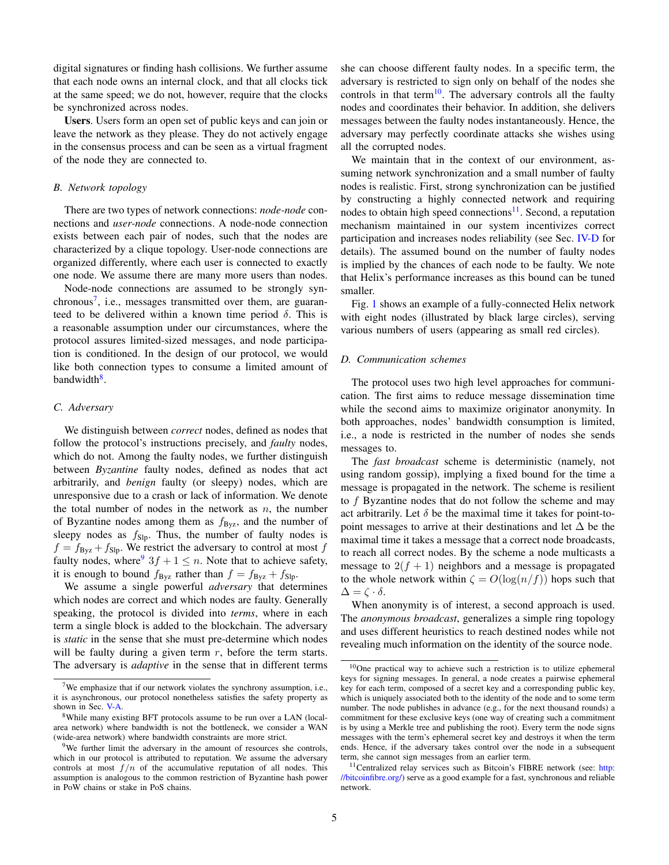digital signatures or finding hash collisions. We further assume that each node owns an internal clock, and that all clocks tick at the same speed; we do not, however, require that the clocks be synchronized across nodes.

Users. Users form an open set of public keys and can join or leave the network as they please. They do not actively engage in the consensus process and can be seen as a virtual fragment of the node they are connected to.

#### *B. Network topology*

There are two types of network connections: *node-node* connections and *user-node* connections. A node-node connection exists between each pair of nodes, such that the nodes are characterized by a clique topology. User-node connections are organized differently, where each user is connected to exactly one node. We assume there are many more users than nodes.

Node-node connections are assumed to be strongly syn-chronous<sup>[7](#page-4-0)</sup>, i.e., messages transmitted over them, are guaranteed to be delivered within a known time period  $\delta$ . This is a reasonable assumption under our circumstances, where the protocol assures limited-sized messages, and node participation is conditioned. In the design of our protocol, we would like both connection types to consume a limited amount of bandwidth<sup>[8](#page-4-1)</sup>.

## *C. Adversary*

We distinguish between *correct* nodes, defined as nodes that follow the protocol's instructions precisely, and *faulty* nodes, which do not. Among the faulty nodes, we further distinguish between *Byzantine* faulty nodes, defined as nodes that act arbitrarily, and *benign* faulty (or sleepy) nodes, which are unresponsive due to a crash or lack of information. We denote the total number of nodes in the network as  $n$ , the number of Byzantine nodes among them as  $f_{\text{Byz}}$ , and the number of sleepy nodes as  $f_{\text{Slp}}$ . Thus, the number of faulty nodes is  $f = f_{\text{Byz}} + f_{\text{Slp}}$ . We restrict the adversary to control at most f faulty nodes, where  $3f + 1 \leq n$ . Note that to achieve safety, it is enough to bound  $f_{\rm Byz}$  rather than  $f = f_{\rm Byz} + f_{\rm Slp}$ .

We assume a single powerful *adversary* that determines which nodes are correct and which nodes are faulty. Generally speaking, the protocol is divided into *terms*, where in each term a single block is added to the blockchain. The adversary is *static* in the sense that she must pre-determine which nodes will be faulty during a given term  $r$ , before the term starts. The adversary is *adaptive* in the sense that in different terms she can choose different faulty nodes. In a specific term, the adversary is restricted to sign only on behalf of the nodes she controls in that term<sup>[10](#page-4-3)</sup>. The adversary controls all the faulty nodes and coordinates their behavior. In addition, she delivers messages between the faulty nodes instantaneously. Hence, the adversary may perfectly coordinate attacks she wishes using all the corrupted nodes.

We maintain that in the context of our environment, assuming network synchronization and a small number of faulty nodes is realistic. First, strong synchronization can be justified by constructing a highly connected network and requiring nodes to obtain high speed connections<sup>[11](#page-4-4)</sup>. Second, a reputation mechanism maintained in our system incentivizes correct participation and increases nodes reliability (see Sec. [IV-D](#page-9-0) for details). The assumed bound on the number of faulty nodes is implied by the chances of each node to be faulty. We note that Helix's performance increases as this bound can be tuned smaller.

Fig. [1](#page-5-1) shows an example of a fully-connected Helix network with eight nodes (illustrated by black large circles), serving various numbers of users (appearing as small red circles).

#### <span id="page-4-5"></span>*D. Communication schemes*

The protocol uses two high level approaches for communication. The first aims to reduce message dissemination time while the second aims to maximize originator anonymity. In both approaches, nodes' bandwidth consumption is limited, i.e., a node is restricted in the number of nodes she sends messages to.

The *fast broadcast* scheme is deterministic (namely, not using random gossip), implying a fixed bound for the time a message is propagated in the network. The scheme is resilient to f Byzantine nodes that do not follow the scheme and may act arbitrarily. Let  $\delta$  be the maximal time it takes for point-topoint messages to arrive at their destinations and let  $\Delta$  be the maximal time it takes a message that a correct node broadcasts, to reach all correct nodes. By the scheme a node multicasts a message to  $2(f + 1)$  neighbors and a message is propagated to the whole network within  $\zeta = O(\log(n/f))$  hops such that  $\Delta = \zeta \cdot \delta$ .

When anonymity is of interest, a second approach is used. The *anonymous broadcast*, generalizes a simple ring topology and uses different heuristics to reach destined nodes while not revealing much information on the identity of the source node.

<span id="page-4-0"></span><sup>&</sup>lt;sup>7</sup>We emphasize that if our network violates the synchrony assumption, i.e., it is asynchronous, our protocol nonetheless satisfies the safety property as shown in Sec. [V-A.](#page-11-1)

<span id="page-4-1"></span><sup>&</sup>lt;sup>8</sup>While many existing BFT protocols assume to be run over a LAN (localarea network) where bandwidth is not the bottleneck, we consider a WAN (wide-area network) where bandwidth constraints are more strict.

<span id="page-4-2"></span><sup>&</sup>lt;sup>9</sup>We further limit the adversary in the amount of resources she controls, which in our protocol is attributed to reputation. We assume the adversary controls at most  $f/n$  of the accumulative reputation of all nodes. This assumption is analogous to the common restriction of Byzantine hash power in PoW chains or stake in PoS chains.

<span id="page-4-3"></span><sup>&</sup>lt;sup>10</sup>One practical way to achieve such a restriction is to utilize ephemeral keys for signing messages. In general, a node creates a pairwise ephemeral key for each term, composed of a secret key and a corresponding public key, which is uniquely associated both to the identity of the node and to some term number. The node publishes in advance (e.g., for the next thousand rounds) a commitment for these exclusive keys (one way of creating such a commitment is by using a Merkle tree and publishing the root). Every term the node signs messages with the term's ephemeral secret key and destroys it when the term ends. Hence, if the adversary takes control over the node in a subsequent term, she cannot sign messages from an earlier term.

<span id="page-4-4"></span><sup>&</sup>lt;sup>11</sup>Centralized relay services such as Bitcoin's FIBRE network (see: [http:](http://bitcoinfibre.org/) [//bitcoinfibre.org/\)](http://bitcoinfibre.org/) serve as a good example for a fast, synchronous and reliable network.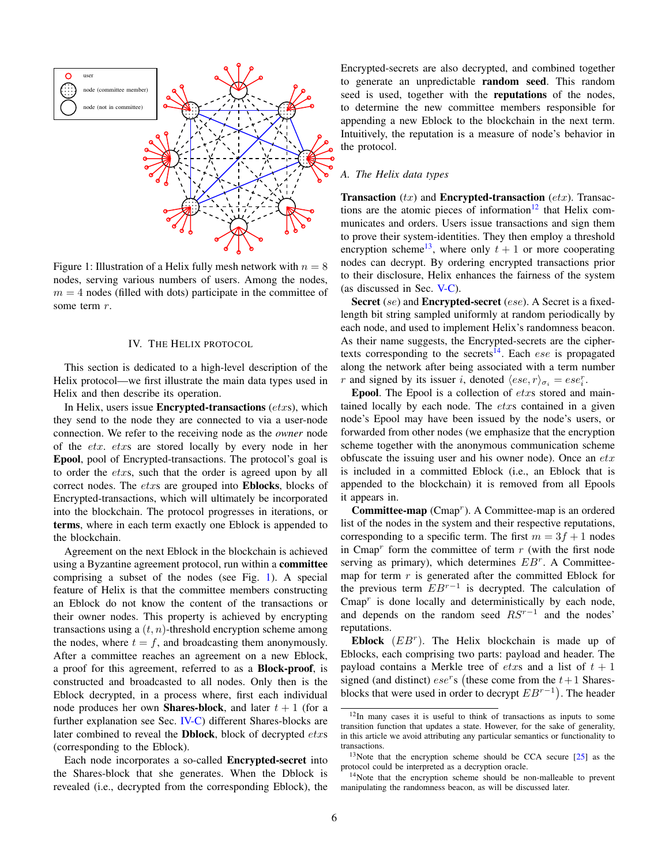<span id="page-5-1"></span>

Figure 1: Illustration of a Helix fully mesh network with  $n = 8$ nodes, serving various numbers of users. Among the nodes,  $m = 4$  nodes (filled with dots) participate in the committee of some term  $r$ .

## IV. THE HELIX PROTOCOL

<span id="page-5-0"></span>This section is dedicated to a high-level description of the Helix protocol—we first illustrate the main data types used in Helix and then describe its operation.

In Helix, users issue **Encrypted-transactions** ( $\textit{ctxs}$ ), which they send to the node they are connected to via a user-node connection. We refer to the receiving node as the *owner* node of the etx. etxs are stored locally by every node in her Epool, pool of Encrypted-transactions. The protocol's goal is to order the *etxs*, such that the order is agreed upon by all correct nodes. The etxs are grouped into Eblocks, blocks of Encrypted-transactions, which will ultimately be incorporated into the blockchain. The protocol progresses in iterations, or terms, where in each term exactly one Eblock is appended to the blockchain.

Agreement on the next Eblock in the blockchain is achieved using a Byzantine agreement protocol, run within a **committee** comprising a subset of the nodes (see Fig. [1\)](#page-5-1). A special feature of Helix is that the committee members constructing an Eblock do not know the content of the transactions or their owner nodes. This property is achieved by encrypting transactions using a  $(t, n)$ -threshold encryption scheme among the nodes, where  $t = f$ , and broadcasting them anonymously. After a committee reaches an agreement on a new Eblock, a proof for this agreement, referred to as a Block-proof, is constructed and broadcasted to all nodes. Only then is the Eblock decrypted, in a process where, first each individual node produces her own **Shares-block**, and later  $t + 1$  (for a further explanation see Sec. [IV-C\)](#page-7-0) different Shares-blocks are later combined to reveal the **Dblock**, block of decrypted *etxs* (corresponding to the Eblock).

Each node incorporates a so-called Encrypted-secret into the Shares-block that she generates. When the Dblock is revealed (i.e., decrypted from the corresponding Eblock), the

Encrypted-secrets are also decrypted, and combined together to generate an unpredictable random seed. This random seed is used, together with the **reputations** of the nodes, to determine the new committee members responsible for appending a new Eblock to the blockchain in the next term. Intuitively, the reputation is a measure of node's behavior in the protocol.

# *A. The Helix data types*

**Transaction**  $(tx)$  and **Encrypted-transaction**  $(ctx)$ . Transactions are the atomic pieces of information $12$  that Helix communicates and orders. Users issue transactions and sign them to prove their system-identities. They then employ a threshold encryption scheme<sup>[13](#page-5-3)</sup>, where only  $t + 1$  or more cooperating nodes can decrypt. By ordering encrypted transactions prior to their disclosure, Helix enhances the fairness of the system (as discussed in Sec. [V-C\)](#page-13-0).

Secret (se) and Encrypted-secret (ese). A Secret is a fixedlength bit string sampled uniformly at random periodically by each node, and used to implement Helix's randomness beacon. As their name suggests, the Encrypted-secrets are the cipher-texts corresponding to the secrets<sup>[14](#page-5-4)</sup>. Each *ese* is propagated along the network after being associated with a term number r and signed by its issuer i, denoted  $\langle \text{ese}, r \rangle_{\sigma_i} = \text{ese}_i^r$ .

**Epool.** The Epool is a collection of  $\text{et}x$ s stored and maintained locally by each node. The etxs contained in a given node's Epool may have been issued by the node's users, or forwarded from other nodes (we emphasize that the encryption scheme together with the anonymous communication scheme obfuscate the issuing user and his owner node). Once an  $etx$ is included in a committed Eblock (i.e., an Eblock that is appended to the blockchain) it is removed from all Epools it appears in.

Committee-map  $(Cmap<sup>r</sup>)$ . A Committee-map is an ordered list of the nodes in the system and their respective reputations, corresponding to a specific term. The first  $m = 3f + 1$  nodes in Cmap<sup>r</sup> form the committee of term  $r$  (with the first node serving as primary), which determines  $EB^r$ . A Committeemap for term  $r$  is generated after the committed Eblock for the previous term  $EB^{r-1}$  is decrypted. The calculation of  $Cmap<sup>r</sup>$  is done locally and deterministically by each node, and depends on the random seed  $RS^{r-1}$  and the nodes' reputations.

Eblock  $(EB<sup>r</sup>)$ . The Helix blockchain is made up of Eblocks, each comprising two parts: payload and header. The payload contains a Merkle tree of *etxs* and a list of  $t + 1$ signed (and distinct)  $ese^r s$  (these come from the  $t+1$  Sharesblocks that were used in order to decrypt  $EB^{r-1}$ ). The header

<span id="page-5-2"></span><sup>12</sup>In many cases it is useful to think of transactions as inputs to some transition function that updates a state. However, for the sake of generality, in this article we avoid attributing any particular semantics or functionality to transactions.

<span id="page-5-3"></span><sup>13</sup>Note that the encryption scheme should be CCA secure [\[25\]](#page-21-24) as the protocol could be interpreted as a decryption oracle.

<span id="page-5-4"></span><sup>&</sup>lt;sup>14</sup>Note that the encryption scheme should be non-malleable to prevent manipulating the randomness beacon, as will be discussed later.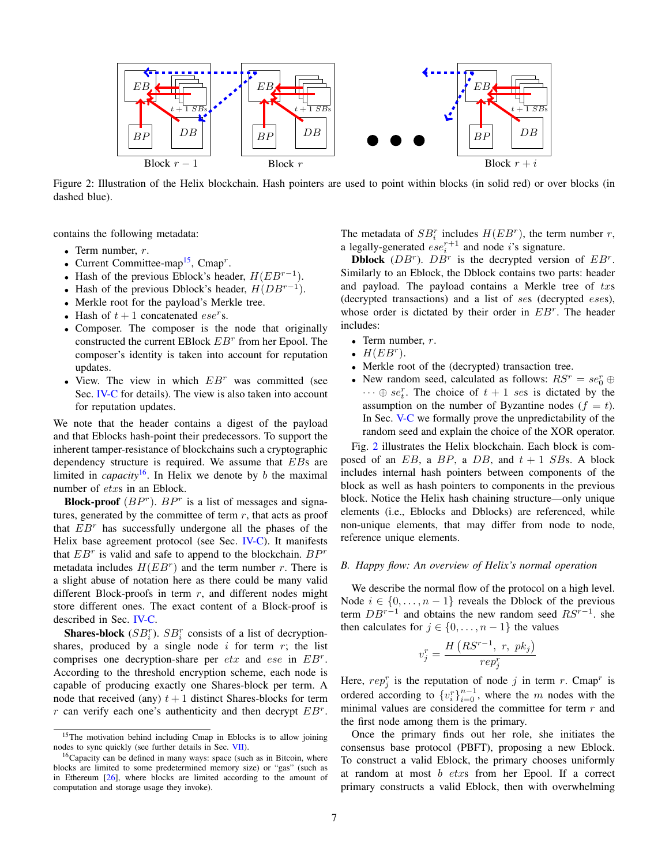<span id="page-6-2"></span>

Figure 2: Illustration of the Helix blockchain. Hash pointers are used to point within blocks (in solid red) or over blocks (in dashed blue).

contains the following metadata:

- Term number,  $r$ .
- Current Committee-map<sup>[15](#page-6-0)</sup>, Cmap<sup>r</sup>.
- Hash of the previous Eblock's header,  $H(EB^{r-1})$ .
- Hash of the previous Dblock's header,  $H(DB^{r-1})$ .
- Merkle root for the payload's Merkle tree.
- Hash of  $t + 1$  concatenated  $ese^r s$ .
- Composer. The composer is the node that originally constructed the current EBlock  $EB<sup>r</sup>$  from her Epool. The composer's identity is taken into account for reputation updates.
- View. The view in which  $EB<sup>r</sup>$  was committed (see Sec. **[IV-C](#page-8-0)** for details). The view is also taken into account for reputation updates.

We note that the header contains a digest of the payload and that Eblocks hash-point their predecessors. To support the inherent tamper-resistance of blockchains such a cryptographic dependency structure is required. We assume that EBs are limited in *capacity*<sup>[16](#page-6-1)</sup>. In Helix we denote by b the maximal number of etxs in an Eblock.

**Block-proof**  $(BP^r)$ .  $BP^r$  is a list of messages and signatures, generated by the committee of term  $r$ , that acts as proof that  $EB<sup>r</sup>$  has successfully undergone all the phases of the Helix base agreement protocol (see Sec. [IV-C\)](#page-8-0). It manifests that  $EB<sup>r</sup>$  is valid and safe to append to the blockchain.  $BP<sup>r</sup>$ metadata includes  $H(EB<sup>r</sup>)$  and the term number r. There is a slight abuse of notation here as there could be many valid different Block-proofs in term  $r$ , and different nodes might store different ones. The exact content of a Block-proof is described in Sec. [IV-C.](#page-8-0)

**Shares-block** ( $SB_i^r$ ).  $SB_i^r$  consists of a list of decryptionshares, produced by a single node  $i$  for term  $r$ ; the list comprises one decryption-share per  $etx$  and  $ese$  in  $EB^r$ . According to the threshold encryption scheme, each node is capable of producing exactly one Shares-block per term. A node that received (any)  $t + 1$  distinct Shares-blocks for term r can verify each one's authenticity and then decrypt  $EB<sup>r</sup>$ . The metadata of  $SB_i^r$  includes  $H(EB^r)$ , the term number r, a legally-generated  $\text{e}se_i^{r+1}$  and node *i*'s signature.

**Dblock** ( $DB^r$ ).  $DB^r$  is the decrypted version of  $EB^r$ . Similarly to an Eblock, the Dblock contains two parts: header and payload. The payload contains a Merkle tree of txs (decrypted transactions) and a list of ses (decrypted eses), whose order is dictated by their order in  $EB<sup>r</sup>$ . The header includes:

- Term number,  $r$ .
- $H(EB<sup>r</sup>)$ .
- Merkle root of the (decrypted) transaction tree.
- New random seed, calculated as follows:  $RS^r = se_0^r \oplus$  $\cdots \oplus se_t^r$ . The choice of  $t + 1$  ses is dictated by the assumption on the number of Byzantine nodes  $(f = t)$ . In Sec. [V-C](#page-13-0) we formally prove the unpredictability of the random seed and explain the choice of the XOR operator.

Fig. [2](#page-6-2) illustrates the Helix blockchain. Each block is composed of an  $EB$ , a  $BP$ , a  $DB$ , and  $t + 1$   $SBs$ . A block includes internal hash pointers between components of the block as well as hash pointers to components in the previous block. Notice the Helix hash chaining structure—only unique elements (i.e., Eblocks and Dblocks) are referenced, while non-unique elements, that may differ from node to node, reference unique elements.

# *B. Happy flow: An overview of Helix's normal operation*

We describe the normal flow of the protocol on a high level. Node  $i \in \{0, \ldots, n-1\}$  reveals the Dblock of the previous term  $DB^{r-1}$  and obtains the new random seed  $RS^{r-1}$ . she then calculates for  $j \in \{0, \ldots, n-1\}$  the values

$$
v_j^r = \frac{H\left(RS^{r-1},\ r,\ pk_j\right)}{rep_j^r}
$$

Here,  $rep_j^r$  is the reputation of node j in term r. Cmap<sup>r</sup> is ordered according to  ${v_i^r}_{i=0}^{n-1}$ , where the m nodes with the minimal values are considered the committee for term  $r$  and the first node among them is the primary.

Once the primary finds out her role, she initiates the consensus base protocol (PBFT), proposing a new Eblock. To construct a valid Eblock, the primary chooses uniformly at random at most b etxs from her Epool. If a correct primary constructs a valid Eblock, then with overwhelming

<span id="page-6-0"></span><sup>&</sup>lt;sup>15</sup>The motivation behind including Cmap in Eblocks is to allow joining nodes to sync quickly (see further details in Sec. [VII\)](#page-19-0).

<span id="page-6-1"></span><sup>&</sup>lt;sup>16</sup>Capacity can be defined in many ways: space (such as in Bitcoin, where blocks are limited to some predetermined memory size) or "gas" (such as in Ethereum  $[26]$ , where blocks are limited according to the amount of computation and storage usage they invoke).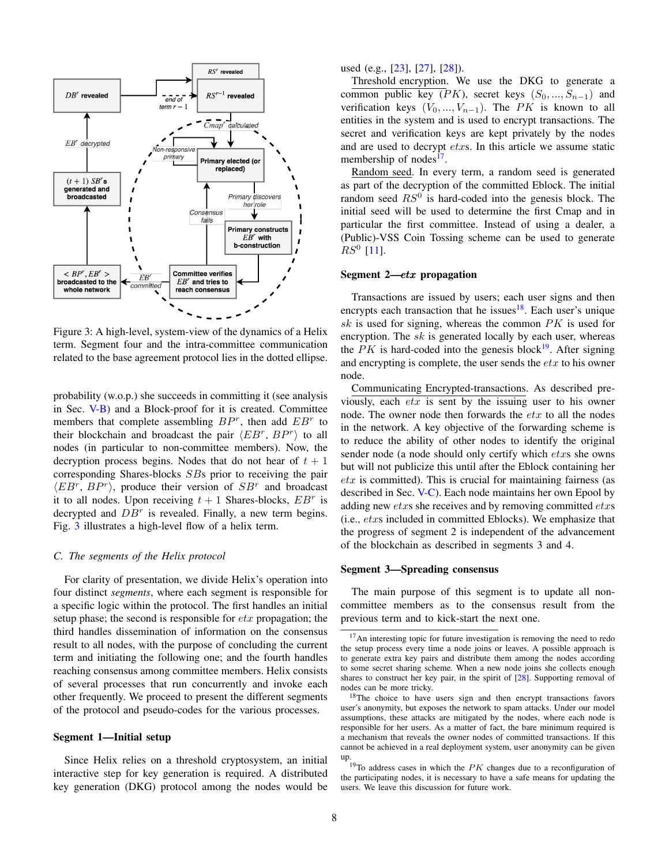<span id="page-7-0"></span>

Figure 3: A high-level, system-view of the dynamics of a Helix term. Segment four and the intra-committee communication related to the base agreement protocol lies in the dotted ellipse.

probability (w.o.p.) she succeeds in committing it (see analysis in Sec. [V-B\)](#page-11-2) and a Block-proof for it is created. Committee members that complete assembling  $BP^r$ , then add  $EB^r$  to their blockchain and broadcast the pair  $\langle EB^r, BP^r \rangle$  to all nodes (in particular to non-committee members). Now, the decryption process begins. Nodes that do not hear of  $t + 1$ corresponding Shares-blocks SBs prior to receiving the pair  $\langle EB^r, BP^r \rangle$ , produce their version of  $SB^r$  and broadcast it to all nodes. Upon receiving  $t + 1$  Shares-blocks,  $EB<sup>r</sup>$  is decrypted and  $DB<sup>r</sup>$  is revealed. Finally, a new term begins. Fig. [3](#page-7-0) illustrates a high-level flow of a helix term.

## *C. The segments of the Helix protocol*

For clarity of presentation, we divide Helix's operation into four distinct *segments*, where each segment is responsible for a specific logic within the protocol. The first handles an initial setup phase; the second is responsible for  $\epsilon tx$  propagation; the third handles dissemination of information on the consensus result to all nodes, with the purpose of concluding the current term and initiating the following one; and the fourth handles reaching consensus among committee members. Helix consists of several processes that run concurrently and invoke each other frequently. We proceed to present the different segments of the protocol and pseudo-codes for the various processes.

## Segment 1—Initial setup

Since Helix relies on a threshold cryptosystem, an initial interactive step for key generation is required. A distributed key generation (DKG) protocol among the nodes would be used (e.g., [\[23\]](#page-21-22), [\[27\]](#page-21-26), [\[28\]](#page-21-27)).

Threshold encryption. We use the DKG to generate a common public key ( $PK$ ), secret keys  $(S_0, ..., S_{n-1})$  and verification keys  $(V_0, ..., V_{n-1})$ . The PK is known to all entities in the system and is used to encrypt transactions. The secret and verification keys are kept privately by the nodes and are used to decrypt etxs. In this article we assume static membership of nodes<sup>[17](#page-7-1)</sup>.

Random seed. In every term, a random seed is generated as part of the decryption of the committed Eblock. The initial random seed  $RS^0$  is hard-coded into the genesis block. The initial seed will be used to determine the first Cmap and in particular the first committee. Instead of using a dealer, a (Public)-VSS Coin Tossing scheme can be used to generate  $RS^0$  [\[11\]](#page-21-11).

## Segment 2—etx propagation

Transactions are issued by users; each user signs and then encrypts each transaction that he issues<sup>[18](#page-7-2)</sup>. Each user's unique sk is used for signing, whereas the common  $PK$  is used for encryption. The  $sk$  is generated locally by each user, whereas the  $PK$  is hard-coded into the genesis block<sup>[19](#page-7-3)</sup>. After signing and encrypting is complete, the user sends the  $etx$  to his owner node.

Communicating Encrypted-transactions. As described previously, each  $\acute{e}tx$  is sent by the issuing user to his owner node. The owner node then forwards the  $etx$  to all the nodes in the network. A key objective of the forwarding scheme is to reduce the ability of other nodes to identify the original sender node (a node should only certify which etxs she owns but will not publicize this until after the Eblock containing her  $\textit{ctx}$  is committed). This is crucial for maintaining fairness (as described in Sec. [V-C\)](#page-13-0). Each node maintains her own Epool by adding new etxs she receives and by removing committed etxs (i.e., etxs included in committed Eblocks). We emphasize that the progress of segment 2 is independent of the advancement of the blockchain as described in segments 3 and 4.

## Segment 3—Spreading consensus

The main purpose of this segment is to update all noncommittee members as to the consensus result from the previous term and to kick-start the next one.

<span id="page-7-1"></span><sup>&</sup>lt;sup>17</sup>An interesting topic for future investigation is removing the need to redo the setup process every time a node joins or leaves. A possible approach is to generate extra key pairs and distribute them among the nodes according to some secret sharing scheme. When a new node joins she collects enough shares to construct her key pair, in the spirit of [\[28\]](#page-21-27). Supporting removal of nodes can be more tricky.

<span id="page-7-2"></span><sup>&</sup>lt;sup>18</sup>The choice to have users sign and then encrypt transactions favors user's anonymity, but exposes the network to spam attacks. Under our model assumptions, these attacks are mitigated by the nodes, where each node is responsible for her users. As a matter of fact, the bare minimum required is a mechanism that reveals the owner nodes of committed transactions. If this cannot be achieved in a real deployment system, user anonymity can be given up.

<span id="page-7-3"></span> $19$ To address cases in which the  $PK$  changes due to a reconfiguration of the participating nodes, it is necessary to have a safe means for updating the users. We leave this discussion for future work.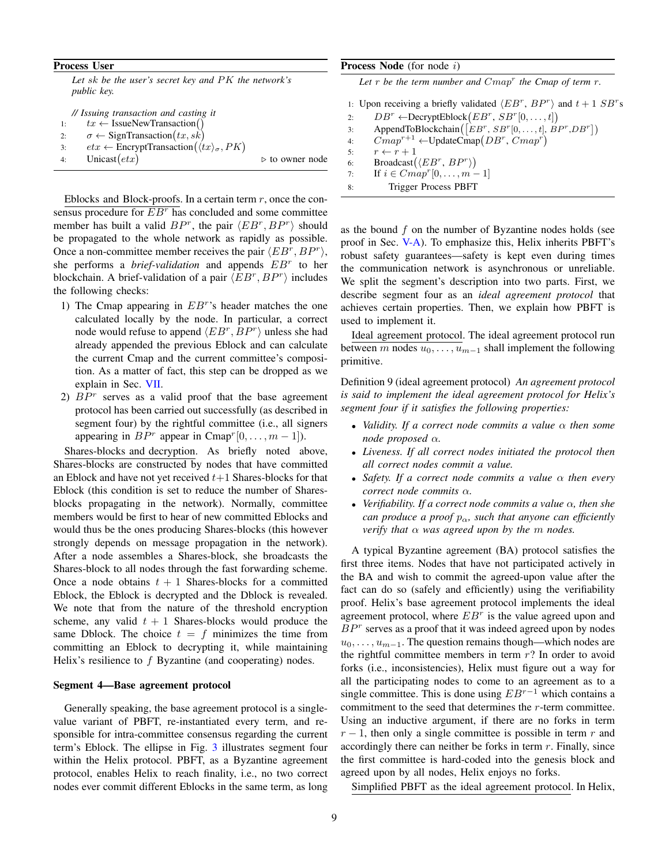## Process User

*Let* sk *be the user's secret key and* PK *the network's public key.*

|    | // Issuing transaction and casting it                                                     |                                |
|----|-------------------------------------------------------------------------------------------|--------------------------------|
| 1: | $tx \leftarrow$ IssueNewTransaction()                                                     |                                |
| 2: | $\sigma \leftarrow$ SignTransaction $(tx, sk)$                                            |                                |
| 3: | $\textit{etx} \leftarrow$ EncryptTransaction $(\langle \textit{tx} \rangle_{\sigma}, PK)$ |                                |
| 4: | Unicast $(text)$                                                                          | $\triangleright$ to owner node |

Eblocks and Block-proofs. In a certain term  $r$ , once the consensus procedure for  $E B^r$  has concluded and some committee member has built a valid  $BP^r$ , the pair  $\langle EB^r,BP^r\rangle$  should be propagated to the whole network as rapidly as possible. Once a non-committee member receives the pair  $\langle E B^r, B P^r \rangle$ , she performs a *brief-validation* and appends EB<sup>r</sup> to her blockchain. A brief-validation of a pair  $\langle EB^r, BP^r \rangle$  includes the following checks:

- 1) The Cmap appearing in  $EB<sup>r</sup>$ 's header matches the one calculated locally by the node. In particular, a correct node would refuse to append  $\langle EB^r, BP^r \rangle$  unless she had already appended the previous Eblock and can calculate the current Cmap and the current committee's composition. As a matter of fact, this step can be dropped as we explain in Sec. [VII.](#page-19-0)
- 2)  $BP<sup>r</sup>$  serves as a valid proof that the base agreement protocol has been carried out successfully (as described in segment four) by the rightful committee (i.e., all signers appearing in  $BP^r$  appear in Cmap<sup>r</sup>[0, ...,  $m-1$ ]).

Shares-blocks and decryption. As briefly noted above, Shares-blocks are constructed by nodes that have committed an Eblock and have not yet received  $t+1$  Shares-blocks for that Eblock (this condition is set to reduce the number of Sharesblocks propagating in the network). Normally, committee members would be first to hear of new committed Eblocks and would thus be the ones producing Shares-blocks (this however strongly depends on message propagation in the network). After a node assembles a Shares-block, she broadcasts the Shares-block to all nodes through the fast forwarding scheme. Once a node obtains  $t + 1$  Shares-blocks for a committed Eblock, the Eblock is decrypted and the Dblock is revealed. We note that from the nature of the threshold encryption scheme, any valid  $t + 1$  Shares-blocks would produce the same Dblock. The choice  $t = f$  minimizes the time from committing an Eblock to decrypting it, while maintaining Helix's resilience to  $f$  Byzantine (and cooperating) nodes.

#### Segment 4—Base agreement protocol

Generally speaking, the base agreement protocol is a singlevalue variant of PBFT, re-instantiated every term, and responsible for intra-committee consensus regarding the current term's Eblock. The ellipse in Fig. [3](#page-7-0) illustrates segment four within the Helix protocol. PBFT, as a Byzantine agreement protocol, enables Helix to reach finality, i.e., no two correct nodes ever commit different Eblocks in the same term, as long

## <span id="page-8-0"></span>Process Node (for node i)

Let  $r$  be the term number and  $Cmap^r$  the Cmap of term  $r$ .

1: Upon receiving a briefly validated  $\langle EB^r, BP^r \rangle$  and  $t + 1SB^r$ s 2:  $DB^r \leftarrow \text{DecryptEllock}(EB^r, SB^r[0, \ldots, t])$ 3: AppendToBlockchain $([EB^r, SB^r[0, \ldots, t], BP^r, DB^r])$ 4:  $Cmap^{r+1} \leftarrow \text{UpdateCmap}(DB^r, Cmap^r)$ 5:  $r \leftarrow r + 1$ 6: Broadcast $(\langle EB^r, BP^r \rangle)$ 7: If  $i \in Cmap^r[0, \ldots, m-1]$ 8: Trigger Process PBFT

as the bound  $f$  on the number of Byzantine nodes holds (see proof in Sec. [V-A\)](#page-11-1). To emphasize this, Helix inherits PBFT's robust safety guarantees—safety is kept even during times the communication network is asynchronous or unreliable. We split the segment's description into two parts. First, we describe segment four as an *ideal agreement protocol* that achieves certain properties. Then, we explain how PBFT is used to implement it.

Ideal agreement protocol. The ideal agreement protocol run between m nodes  $u_0, \ldots, u_{m-1}$  shall implement the following primitive.

<span id="page-8-1"></span>Definition 9 (ideal agreement protocol) *An agreement protocol is said to implement the ideal agreement protocol for Helix's segment four if it satisfies the following properties:*

- *Validity. If a correct node commits a value* α *then some node proposed* α*.*
- *Liveness. If all correct nodes initiated the protocol then all correct nodes commit a value.*
- *Safety. If a correct node commits a value* α *then every correct node commits* α*.*
- *Verifiability. If a correct node commits a value* α*, then she can produce a proof*  $p_{\alpha}$ *, such that anyone can efficiently verify that* α *was agreed upon by the* m *nodes.*

A typical Byzantine agreement (BA) protocol satisfies the first three items. Nodes that have not participated actively in the BA and wish to commit the agreed-upon value after the fact can do so (safely and efficiently) using the verifiability proof. Helix's base agreement protocol implements the ideal agreement protocol, where  $EB<sup>r</sup>$  is the value agreed upon and  $BP<sup>r</sup>$  serves as a proof that it was indeed agreed upon by nodes  $u_0, \ldots, u_{m-1}$ . The question remains though—which nodes are the rightful committee members in term  $r$ ? In order to avoid forks (i.e., inconsistencies), Helix must figure out a way for all the participating nodes to come to an agreement as to a single committee. This is done using  $EB^{r-1}$  which contains a commitment to the seed that determines the r-term committee. Using an inductive argument, if there are no forks in term  $r - 1$ , then only a single committee is possible in term r and accordingly there can neither be forks in term  $r$ . Finally, since the first committee is hard-coded into the genesis block and agreed upon by all nodes, Helix enjoys no forks.

Simplified PBFT as the ideal agreement protocol. In Helix,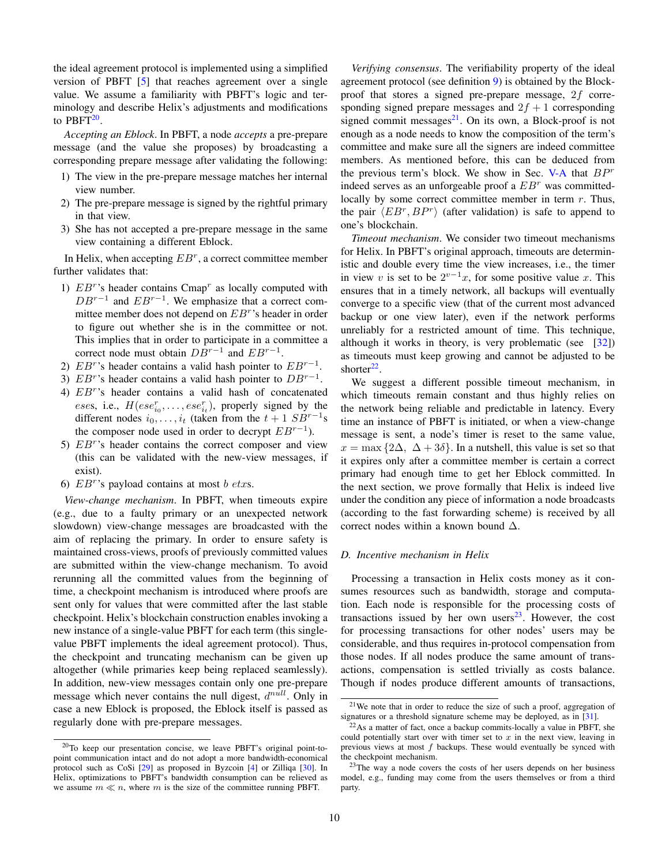the ideal agreement protocol is implemented using a simplified version of PBFT [\[5\]](#page-21-4) that reaches agreement over a single value. We assume a familiarity with PBFT's logic and terminology and describe Helix's adjustments and modifications to  $\mathrm{PBFT}^{20}$  $\mathrm{PBFT}^{20}$  $\mathrm{PBFT}^{20}$ .

*Accepting an Eblock*. In PBFT, a node *accepts* a pre-prepare message (and the value she proposes) by broadcasting a corresponding prepare message after validating the following:

- 1) The view in the pre-prepare message matches her internal view number.
- 2) The pre-prepare message is signed by the rightful primary in that view.
- 3) She has not accepted a pre-prepare message in the same view containing a different Eblock.

In Helix, when accepting  $EB^r$ , a correct committee member further validates that:

- 1)  $EB<sup>r</sup>$ 's header contains Cmap<sup>r</sup> as locally computed with  $DB^{r-1}$  and  $EB^{r-1}$ . We emphasize that a correct committee member does not depend on  $EB<sup>r</sup>$ 's header in order to figure out whether she is in the committee or not. This implies that in order to participate in a committee a correct node must obtain  $DB^{r-1}$  and  $EB^{r-1}$ .
- 2)  $EB<sup>r</sup>$ 's header contains a valid hash pointer to  $EB<sup>r-1</sup>$ .
- 3)  $EB<sup>r</sup>$ 's header contains a valid hash pointer to  $DB<sup>r-1</sup>$ .
- 4) EB<sup>r</sup> 's header contains a valid hash of concatenated eses, i.e.,  $H(ese^r_{i_0}, \ldots, ese^r_{i_t})$ , properly signed by the different nodes  $i_0, \ldots, i_t$  (taken from the  $t + 1$   $SB^{r-1}s$ the composer node used in order to decrypt  $EB^{r-1}$ ).
- 5)  $EB<sup>r</sup>$ 's header contains the correct composer and view (this can be validated with the new-view messages, if exist).
- 6)  $EB<sup>r</sup>$ 's payload contains at most b etxs.

*View-change mechanism*. In PBFT, when timeouts expire (e.g., due to a faulty primary or an unexpected network slowdown) view-change messages are broadcasted with the aim of replacing the primary. In order to ensure safety is maintained cross-views, proofs of previously committed values are submitted within the view-change mechanism. To avoid rerunning all the committed values from the beginning of time, a checkpoint mechanism is introduced where proofs are sent only for values that were committed after the last stable checkpoint. Helix's blockchain construction enables invoking a new instance of a single-value PBFT for each term (this singlevalue PBFT implements the ideal agreement protocol). Thus, the checkpoint and truncating mechanism can be given up altogether (while primaries keep being replaced seamlessly). In addition, new-view messages contain only one pre-prepare message which never contains the null digest,  $d^{null}$ . Only in case a new Eblock is proposed, the Eblock itself is passed as regularly done with pre-prepare messages.

*Verifying consensus*. The verifiability property of the ideal agreement protocol (see definition [9\)](#page-8-1) is obtained by the Blockproof that stores a signed pre-prepare message, 2f corresponding signed prepare messages and  $2f + 1$  corresponding signed commit messages $^{21}$  $^{21}$  $^{21}$ . On its own, a Block-proof is not enough as a node needs to know the composition of the term's committee and make sure all the signers are indeed committee members. As mentioned before, this can be deduced from the previous term's block. We show in Sec. [V-A](#page-11-1) that  $BP<sup>r</sup>$ indeed serves as an unforgeable proof a  $EB<sup>r</sup>$  was committedlocally by some correct committee member in term  $r$ . Thus, the pair  $\langle EB^r, BP^r \rangle$  (after validation) is safe to append to one's blockchain.

*Timeout mechanism*. We consider two timeout mechanisms for Helix. In PBFT's original approach, timeouts are deterministic and double every time the view increases, i.e., the timer in view v is set to be  $2^{v-1}x$ , for some positive value x. This ensures that in a timely network, all backups will eventually converge to a specific view (that of the current most advanced backup or one view later), even if the network performs unreliably for a restricted amount of time. This technique, although it works in theory, is very problematic (see  $[32]$ ) as timeouts must keep growing and cannot be adjusted to be shorter $^{22}$  $^{22}$  $^{22}$ .

We suggest a different possible timeout mechanism, in which timeouts remain constant and thus highly relies on the network being reliable and predictable in latency. Every time an instance of PBFT is initiated, or when a view-change message is sent, a node's timer is reset to the same value,  $x = \max\{2\Delta, \Delta + 3\delta\}.$  In a nutshell, this value is set so that it expires only after a committee member is certain a correct primary had enough time to get her Eblock committed. In the next section, we prove formally that Helix is indeed live under the condition any piece of information a node broadcasts (according to the fast forwarding scheme) is received by all correct nodes within a known bound  $\Delta$ .

#### <span id="page-9-0"></span>*D. Incentive mechanism in Helix*

Processing a transaction in Helix costs money as it consumes resources such as bandwidth, storage and computation. Each node is responsible for the processing costs of transactions issued by her own users $^{23}$  $^{23}$  $^{23}$ . However, the cost for processing transactions for other nodes' users may be considerable, and thus requires in-protocol compensation from those nodes. If all nodes produce the same amount of transactions, compensation is settled trivially as costs balance. Though if nodes produce different amounts of transactions,

<span id="page-9-1"></span><sup>20</sup>To keep our presentation concise, we leave PBFT's original point-topoint communication intact and do not adopt a more bandwidth-economical protocol such as CoSi [\[29\]](#page-21-28) as proposed in Byzcoin [\[4\]](#page-21-3) or Zilliqa [\[30\]](#page-21-29). In Helix, optimizations to PBFT's bandwidth consumption can be relieved as we assume  $m \ll n$ , where m is the size of the committee running PBFT.

<span id="page-9-2"></span><sup>21</sup>We note that in order to reduce the size of such a proof, aggregation of signatures or a threshold signature scheme may be deployed, as in [\[31\]](#page-21-31).

<span id="page-9-3"></span> $22$ As a matter of fact, once a backup commits-locally a value in PBFT, she could potentially start over with timer set to  $x$  in the next view, leaving in previous views at most  $f$  backups. These would eventually be synced with the checkpoint mechanism.

<span id="page-9-4"></span><sup>&</sup>lt;sup>23</sup>The way a node covers the costs of her users depends on her business model, e.g., funding may come from the users themselves or from a third party.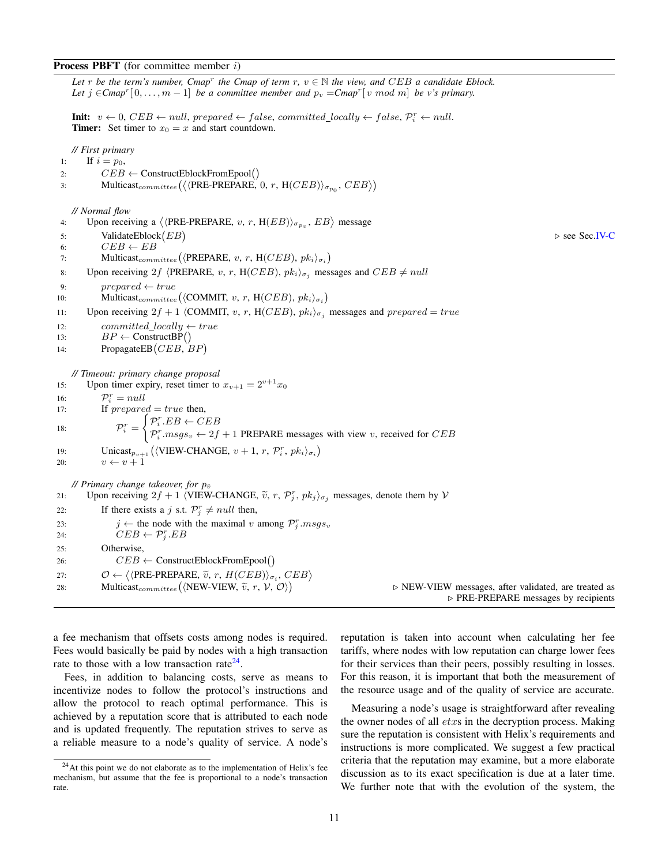## **Process PBFT** (for committee member  $i$ )

*Let* r *be the term's number, Cmap<sup>r</sup> the Cmap of term r,*  $v \in \mathbb{N}$  *the view, and CEB a candidate Eblock.* Let  $j \in \text{Cmap}^r[0, \ldots, m-1]$  *be a committee member and*  $p_v = \text{Cmap}^r[v \mod m]$  *be v's primary.* 

**Init:**  $v \leftarrow 0$ ,  $CEB \leftarrow null$ , prepared  $\leftarrow false$ , committed\_locally  $\leftarrow false$ ,  $P_i^r \leftarrow null$ . **Timer:** Set timer to  $x_0 = x$  and start countdown.

*// First primary*

1: If  $i = p_0$ , 2:  $CEB \leftarrow \text{ConstructEblockFromEpool}()$ 3: Multicast<sub>committee</sub> ( $\langle \langle$ PRE-PREPARE, 0, r, H(*CEB*))<sub> $\sigma_{p_0}$ </sub>, *CEB* $\rangle$ ) *// Normal flow* 4: Upon receiving a  $\langle$  (PRE-PREPARE, v, r, H(EB))<sub> $\sigma_{p_v}$ </sub>, EB) message 5: ValidateEblock  $(EB)$ . see Sec[.IV-C](#page-8-1) 6:  $CEB \leftarrow EB$ 7: Multicast<sub>committee</sub> ( $\langle$ PREPARE, v, r, H(*CEB*),  $pk_i\rangle_{\sigma_i}$ ) 8: Upon receiving 2f  $\langle$ PREPARE, v, r, H(CEB),  $pk_i\rangle_{\sigma_i}$  messages and  $CEB \neq null$ 9:  $prepared \leftarrow true$ 10: Multicast<sub>committee</sub> ( $\langle$ COMMIT, v, r, H(*CEB*),  $pk_i\rangle_{\sigma_i}$ ) 11: Upon receiving  $2f + 1$  (COMMIT, v, r, H(CEB),  $pk_i\rangle_{\sigma_i}$  messages and prepared = true 12: committed locally  $\leftarrow true$ 13:  $BP \leftarrow \text{ConstructBP}()$ 14: PropagateEB (*CEB*, *BP*) *// Timeout: primary change proposal* 15: Upon timer expiry, reset timer to  $x_{v+1} = 2^{v+1}x_0$ 16:  $\mathcal{P}_i^r = null$ 17: If  $prepared = true$  then, 18:  $\mathcal{P}_i^r =$  $\int \mathcal{P}_i^r E B \leftarrow E B$  $\mathcal{P}_i^r \cdot msg_s_v \leftarrow 2f + 1$  PREPARE messages with view v, received for CEB 19: Unicast<sub> $p_{v+1}$ </sub> ( $\langle$ VIEW-CHANGE,  $v + 1, r, \mathcal{P}_i^r, pk_i \rangle_{\sigma_i}$ ) 20:  $v \leftarrow v + 1$ *// Primary change takeover, for*  $p_{\tilde{v}}$ 21: Upon receiving  $2f + 1$  (VIEW-CHANGE,  $\tilde{v}$ , r,  $\mathcal{P}_j^r$ ,  $pk_j$ )<sub> $\sigma_j$ </sub> messages, denote them by  $\mathcal{V}$ 22: If there exists a j s.t.  $\mathcal{P}_{j}^{r} \neq null$  then, 23:  $j \leftarrow$  the node with the maximal v among  $\mathcal{P}_j^r$ .  $msgs_v$ 24:  $CEB \leftarrow \mathcal{P}_j^r . EB$ 25: Otherwise, 26:  $CEB \leftarrow \text{ConstructEblockFromEpool}()$ 27:  $\mathcal{O} \leftarrow \langle \langle \text{PRE-PREPARE}, \tilde{v}, r, H(CEB) \rangle_{\sigma_i}, CEB \rangle$ <br>
22. Multicast (NEW VIEW  $\tilde{s}$   $r$  ),  $\mathcal{O}$ ) 28: Multicast<sub>committee</sub> ((NEW-VIEW,  $\widetilde{v}$ , r,  $\mathcal{V}$ ,  $\mathcal{O}$ )) . NEW-VIEW messages, after validated, are treated as  $\triangleright$  PRE-PREPARE messages by recipients

a fee mechanism that offsets costs among nodes is required. Fees would basically be paid by nodes with a high transaction rate to those with a low transaction rate<sup>[24](#page-10-0)</sup>.

Fees, in addition to balancing costs, serve as means to incentivize nodes to follow the protocol's instructions and allow the protocol to reach optimal performance. This is achieved by a reputation score that is attributed to each node and is updated frequently. The reputation strives to serve as a reliable measure to a node's quality of service. A node's reputation is taken into account when calculating her fee tariffs, where nodes with low reputation can charge lower fees for their services than their peers, possibly resulting in losses. For this reason, it is important that both the measurement of the resource usage and of the quality of service are accurate.

Measuring a node's usage is straightforward after revealing the owner nodes of all  $\textit{ctx}$  in the decryption process. Making sure the reputation is consistent with Helix's requirements and instructions is more complicated. We suggest a few practical criteria that the reputation may examine, but a more elaborate discussion as to its exact specification is due at a later time. We further note that with the evolution of the system, the

<span id="page-10-0"></span> $24$ At this point we do not elaborate as to the implementation of Helix's fee mechanism, but assume that the fee is proportional to a node's transaction rate.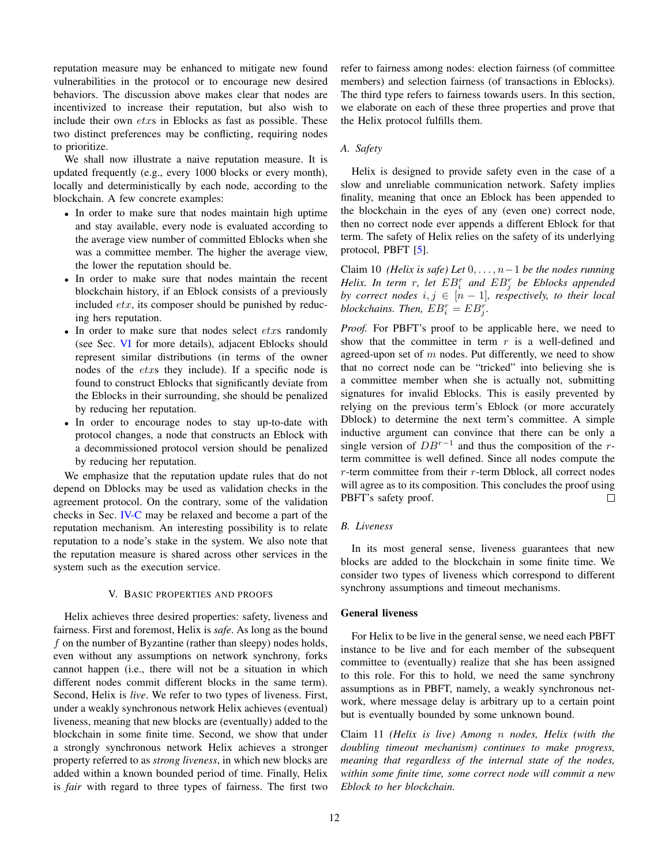reputation measure may be enhanced to mitigate new found vulnerabilities in the protocol or to encourage new desired behaviors. The discussion above makes clear that nodes are incentivized to increase their reputation, but also wish to include their own etxs in Eblocks as fast as possible. These two distinct preferences may be conflicting, requiring nodes to prioritize.

We shall now illustrate a naive reputation measure. It is updated frequently (e.g., every 1000 blocks or every month), locally and deterministically by each node, according to the blockchain. A few concrete examples:

- In order to make sure that nodes maintain high uptime and stay available, every node is evaluated according to the average view number of committed Eblocks when she was a committee member. The higher the average view, the lower the reputation should be.
- In order to make sure that nodes maintain the recent blockchain history, if an Eblock consists of a previously included  $\textit{ctx}$ , its composer should be punished by reducing hers reputation.
- In order to make sure that nodes select *etxs* randomly (see Sec. [VI](#page-15-0) for more details), adjacent Eblocks should represent similar distributions (in terms of the owner nodes of the etxs they include). If a specific node is found to construct Eblocks that significantly deviate from the Eblocks in their surrounding, she should be penalized by reducing her reputation.
- In order to encourage nodes to stay up-to-date with protocol changes, a node that constructs an Eblock with a decommissioned protocol version should be penalized by reducing her reputation.

We emphasize that the reputation update rules that do not depend on Dblocks may be used as validation checks in the agreement protocol. On the contrary, some of the validation checks in Sec. [IV-C](#page-8-1) may be relaxed and become a part of the reputation mechanism. An interesting possibility is to relate reputation to a node's stake in the system. We also note that the reputation measure is shared across other services in the system such as the execution service.

# V. BASIC PROPERTIES AND PROOFS

<span id="page-11-0"></span>Helix achieves three desired properties: safety, liveness and fairness. First and foremost, Helix is *safe*. As long as the bound  $f$  on the number of Byzantine (rather than sleepy) nodes holds, even without any assumptions on network synchrony, forks cannot happen (i.e., there will not be a situation in which different nodes commit different blocks in the same term). Second, Helix is *live*. We refer to two types of liveness. First, under a weakly synchronous network Helix achieves (eventual) liveness, meaning that new blocks are (eventually) added to the blockchain in some finite time. Second, we show that under a strongly synchronous network Helix achieves a stronger property referred to as *strong liveness*, in which new blocks are added within a known bounded period of time. Finally, Helix is *fair* with regard to three types of fairness. The first two refer to fairness among nodes: election fairness (of committee members) and selection fairness (of transactions in Eblocks). The third type refers to fairness towards users. In this section, we elaborate on each of these three properties and prove that the Helix protocol fulfills them.

# <span id="page-11-1"></span>*A. Safety*

Helix is designed to provide safety even in the case of a slow and unreliable communication network. Safety implies finality, meaning that once an Eblock has been appended to the blockchain in the eyes of any (even one) correct node, then no correct node ever appends a different Eblock for that term. The safety of Helix relies on the safety of its underlying protocol, PBFT [\[5\]](#page-21-4).

Claim 10 *(Helix is safe) Let* 0, . . . , n−1 *be the nodes running Helix. In term* r*, let* EB<sup>r</sup> i *and* EB<sup>r</sup> j *be Eblocks appended by correct nodes*  $i, j \in [n-1]$ *, respectively, to their local*  $block$ *chains. Then,*  $EB_i^r = EB_j^r$ .

*Proof.* For PBFT's proof to be applicable here, we need to show that the committee in term  $r$  is a well-defined and agreed-upon set of  $m$  nodes. Put differently, we need to show that no correct node can be "tricked" into believing she is a committee member when she is actually not, submitting signatures for invalid Eblocks. This is easily prevented by relying on the previous term's Eblock (or more accurately Dblock) to determine the next term's committee. A simple inductive argument can convince that there can be only a single version of  $DB^{r-1}$  and thus the composition of the rterm committee is well defined. Since all nodes compute the  $r$ -term committee from their  $r$ -term Dblock, all correct nodes will agree as to its composition. This concludes the proof using PBFT's safety proof.  $\Box$ 

# <span id="page-11-2"></span>*B. Liveness*

In its most general sense, liveness guarantees that new blocks are added to the blockchain in some finite time. We consider two types of liveness which correspond to different synchrony assumptions and timeout mechanisms.

# General liveness

For Helix to be live in the general sense, we need each PBFT instance to be live and for each member of the subsequent committee to (eventually) realize that she has been assigned to this role. For this to hold, we need the same synchrony assumptions as in PBFT, namely, a weakly synchronous network, where message delay is arbitrary up to a certain point but is eventually bounded by some unknown bound.

Claim 11 *(Helix is live) Among* n *nodes, Helix (with the doubling timeout mechanism) continues to make progress, meaning that regardless of the internal state of the nodes, within some finite time, some correct node will commit a new Eblock to her blockchain.*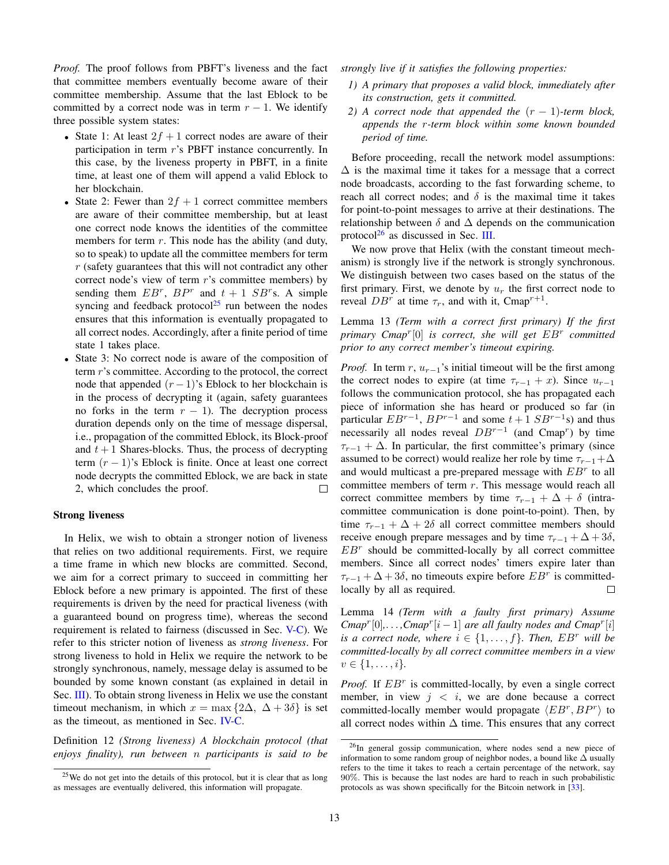*Proof.* The proof follows from PBFT's liveness and the fact that committee members eventually become aware of their committee membership. Assume that the last Eblock to be committed by a correct node was in term  $r - 1$ . We identify three possible system states:

- State 1: At least  $2f + 1$  correct nodes are aware of their participation in term r's PBFT instance concurrently. In this case, by the liveness property in PBFT, in a finite time, at least one of them will append a valid Eblock to her blockchain.
- State 2: Fewer than  $2f + 1$  correct committee members are aware of their committee membership, but at least one correct node knows the identities of the committee members for term  $r$ . This node has the ability (and duty, so to speak) to update all the committee members for term r (safety guarantees that this will not contradict any other correct node's view of term r's committee members) by sending them  $EB^r$ ,  $BP^r$  and  $t + 1$   $SB^r$ s. A simple syncing and feedback protocol<sup>[25](#page-12-0)</sup> run between the nodes ensures that this information is eventually propagated to all correct nodes. Accordingly, after a finite period of time state 1 takes place.
- State 3: No correct node is aware of the composition of term r's committee. According to the protocol, the correct node that appended  $(r-1)$ 's Eblock to her blockchain is in the process of decrypting it (again, safety guarantees no forks in the term  $r - 1$ ). The decryption process duration depends only on the time of message dispersal, i.e., propagation of the committed Eblock, its Block-proof and  $t + 1$  Shares-blocks. Thus, the process of decrypting term  $(r - 1)$ 's Eblock is finite. Once at least one correct node decrypts the committed Eblock, we are back in state 2, which concludes the proof.

# Strong liveness

In Helix, we wish to obtain a stronger notion of liveness that relies on two additional requirements. First, we require a time frame in which new blocks are committed. Second, we aim for a correct primary to succeed in committing her Eblock before a new primary is appointed. The first of these requirements is driven by the need for practical liveness (with a guaranteed bound on progress time), whereas the second requirement is related to fairness (discussed in Sec. [V-C\)](#page-13-0). We refer to this stricter notion of liveness as *strong liveness*. For strong liveness to hold in Helix we require the network to be strongly synchronous, namely, message delay is assumed to be bounded by some known constant (as explained in detail in Sec. [III\)](#page-3-0). To obtain strong liveness in Helix we use the constant timeout mechanism, in which  $x = \max\{2\Delta, \Delta + 3\delta\}$  is set as the timeout, as mentioned in Sec. [IV-C.](#page-8-0)

<span id="page-12-2"></span>Definition 12 *(Strong liveness) A blockchain protocol (that enjoys finality), run between* n *participants is said to be* *strongly live if it satisfies the following properties:*

- *1) A primary that proposes a valid block, immediately after its construction, gets it committed.*
- *2) A* correct node that appended the  $(r 1)$ -term block, *appends the* r*-term block within some known bounded period of time.*

Before proceeding, recall the network model assumptions:  $\Delta$  is the maximal time it takes for a message that a correct node broadcasts, according to the fast forwarding scheme, to reach all correct nodes; and  $\delta$  is the maximal time it takes for point-to-point messages to arrive at their destinations. The relationship between  $\delta$  and  $\Delta$  depends on the communication protocol $^{26}$  $^{26}$  $^{26}$  as discussed in Sec. [III.](#page-3-0)

We now prove that Helix (with the constant timeout mechanism) is strongly live if the network is strongly synchronous. We distinguish between two cases based on the status of the first primary. First, we denote by  $u_r$  the first correct node to reveal  $DB^r$  at time  $\tau_r$ , and with it, Cmap<sup>r+1</sup>.

Lemma 13 *(Term with a correct first primary) If the first primary Cmap*<sup>r</sup> [0] *is correct, she will get* EB<sup>r</sup> *committed prior to any correct member's timeout expiring.*

*Proof.* In term r,  $u_{r-1}$ 's initial timeout will be the first among the correct nodes to expire (at time  $\tau_{r-1} + x$ ). Since  $u_{r-1}$ follows the communication protocol, she has propagated each piece of information she has heard or produced so far (in particular  $EB^{r-1}$ ,  $BP^{r-1}$  and some  $t+1$   $SB^{r-1}s$ ) and thus necessarily all nodes reveal  $DB^{r-1}$  (and Cmap<sup>r</sup>) by time  $\tau_{r-1} + \Delta$ . In particular, the first committee's primary (since assumed to be correct) would realize her role by time  $\tau_{r-1}+\Delta$ and would multicast a pre-prepared message with  $EB<sup>r</sup>$  to all committee members of term r. This message would reach all correct committee members by time  $\tau_{r-1} + \Delta + \delta$  (intracommittee communication is done point-to-point). Then, by time  $\tau_{r-1} + \Delta + 2\delta$  all correct committee members should receive enough prepare messages and by time  $\tau_{r-1} + \Delta + 3\delta$ ,  $EB<sup>r</sup>$  should be committed-locally by all correct committee members. Since all correct nodes' timers expire later than  $\tau_{r-1} + \Delta + 3\delta$ , no timeouts expire before  $EB^r$  is committedlocally by all as required. П

Lemma 14 *(Term with a faulty first primary) Assume*  $Cmap^{r}[0], \ldots, Cmap^{r}[i-1]$  *are all faulty nodes and Cmap<sup>r</sup>*[*i*] *is a correct node, where*  $i \in \{1, \ldots, f\}$ *. Then, EB<sup>r</sup> will be committed-locally by all correct committee members in a view*  $v \in \{1, \ldots, i\}.$ 

*Proof.* If  $EB<sup>r</sup>$  is committed-locally, by even a single correct member, in view  $j \leq i$ , we are done because a correct committed-locally member would propagate  $\langle EB^r, BP^r \rangle$  to all correct nodes within  $\Delta$  time. This ensures that any correct

<span id="page-12-0"></span><sup>25</sup>We do not get into the details of this protocol, but it is clear that as long as messages are eventually delivered, this information will propagate.

<span id="page-12-1"></span><sup>26</sup>In general gossip communication, where nodes send a new piece of information to some random group of neighbor nodes, a bound like ∆ usually refers to the time it takes to reach a certain percentage of the network, say 90%. This is because the last nodes are hard to reach in such probabilistic protocols as was shown specifically for the Bitcoin network in [\[33\]](#page-21-32).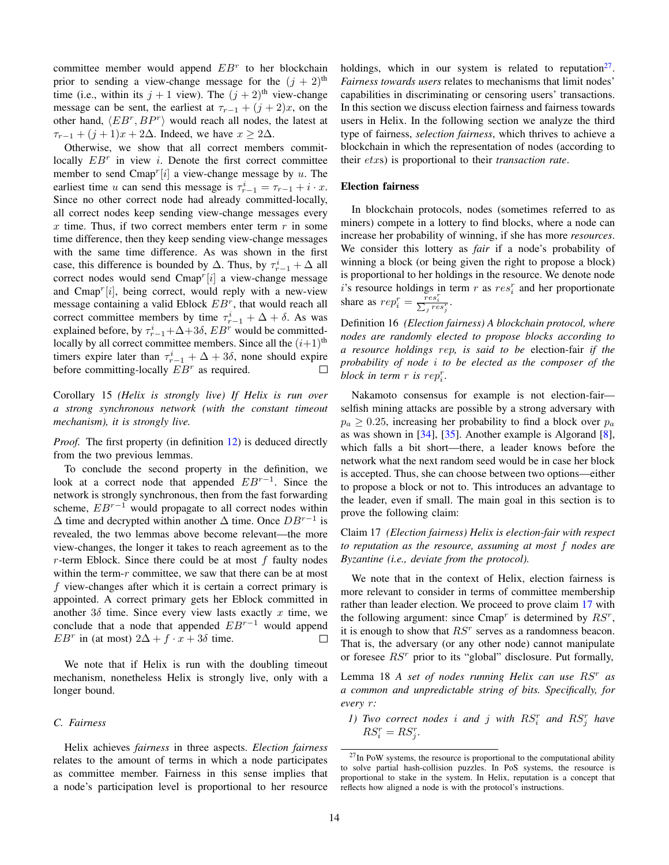committee member would append  $EB<sup>r</sup>$  to her blockchain prior to sending a view-change message for the  $(j + 2)$ <sup>th</sup> time (i.e., within its  $j + 1$  view). The  $(j + 2)$ <sup>th</sup> view-change message can be sent, the earliest at  $\tau_{r-1} + (j+2)x$ , on the other hand,  $\langle EB^r, BP^r \rangle$  would reach all nodes, the latest at  $\tau_{r-1} + (j+1)x + 2\Delta$ . Indeed, we have  $x \geq 2\Delta$ .

Otherwise, we show that all correct members commitlocally  $EB<sup>r</sup>$  in view *i*. Denote the first correct committee member to send Cmap<sup>r</sup>[i] a view-change message by u. The earliest time u can send this message is  $\tau_{r-1}^i = \tau_{r-1} + i \cdot x$ . Since no other correct node had already committed-locally, all correct nodes keep sending view-change messages every x time. Thus, if two correct members enter term  $r$  in some time difference, then they keep sending view-change messages with the same time difference. As was shown in the first case, this difference is bounded by  $\Delta$ . Thus, by  $\tau_{r-1}^i + \Delta$  all correct nodes would send  $\text{Cmap}^r[i]$  a view-change message and  $Cmap^r[i]$ , being correct, would reply with a new-view message containing a valid Eblock  $EB<sup>r</sup>$ , that would reach all correct committee members by time  $\tau_{r-1}^i + \Delta + \delta$ . As was explained before, by  $\tau_{r-1}^i + \Delta + 3\delta$ ,  $EB^r$  would be committedlocally by all correct committee members. Since all the  $(i+1)$ <sup>th</sup> timers expire later than  $\tau_{r-1}^i + \Delta + 3\delta$ , none should expire before committing-locally  $EB<sup>r</sup>$  as required. П

Corollary 15 *(Helix is strongly live) If Helix is run over a strong synchronous network (with the constant timeout mechanism), it is strongly live.*

*Proof.* The first property (in definition [12\)](#page-12-2) is deduced directly from the two previous lemmas.

To conclude the second property in the definition, we look at a correct node that appended  $EB^{r-1}$ . Since the network is strongly synchronous, then from the fast forwarding scheme,  $EB^{r-1}$  would propagate to all correct nodes within  $\Delta$  time and decrypted within another  $\Delta$  time. Once  $DB^{r-1}$  is revealed, the two lemmas above become relevant—the more view-changes, the longer it takes to reach agreement as to the  $r$ -term Eblock. Since there could be at most  $f$  faulty nodes within the term- $r$  committee, we saw that there can be at most f view-changes after which it is certain a correct primary is appointed. A correct primary gets her Eblock committed in another  $3\delta$  time. Since every view lasts exactly x time, we conclude that a node that appended  $EB^{r-1}$  would append *EB*<sup>r</sup> in (at most)  $2\Delta + f \cdot x + 3\delta$  time.  $\Box$ 

We note that if Helix is run with the doubling timeout mechanism, nonetheless Helix is strongly live, only with a longer bound.

## <span id="page-13-0"></span>*C. Fairness*

Helix achieves *fairness* in three aspects. *Election fairness* relates to the amount of terms in which a node participates as committee member. Fairness in this sense implies that a node's participation level is proportional to her resource

holdings, which in our system is related to reputation<sup>[27](#page-13-1)</sup>. *Fairness towards users* relates to mechanisms that limit nodes' capabilities in discriminating or censoring users' transactions. In this section we discuss election fairness and fairness towards users in Helix. In the following section we analyze the third type of fairness, *selection fairness*, which thrives to achieve a blockchain in which the representation of nodes (according to their etxs) is proportional to their *transaction rate*.

### Election fairness

In blockchain protocols, nodes (sometimes referred to as miners) compete in a lottery to find blocks, where a node can increase her probability of winning, if she has more *resources*. We consider this lottery as *fair* if a node's probability of winning a block (or being given the right to propose a block) is proportional to her holdings in the resource. We denote node i's resource holdings in term r as  $res_i^r$  and her proportionate share as  $rep_i^r = \frac{res_i^r}{\sum_j res_j^r}$ .

Definition 16 *(Election fairness) A blockchain protocol, where nodes are randomly elected to propose blocks according to a resource holdings* rep*, is said to be* election-fair *if the probability of node* i *to be elected as the composer of the block in term*  $r$  *is rep*<sup> $r$ </sup>.

Nakamoto consensus for example is not election-fair selfish mining attacks are possible by a strong adversary with  $p_a \geq 0.25$ , increasing her probability to find a block over  $p_a$ as was shown in [\[34\]](#page-21-33), [\[35\]](#page-21-34). Another example is Algorand [\[8\]](#page-21-7), which falls a bit short—there, a leader knows before the network what the next random seed would be in case her block is accepted. Thus, she can choose between two options—either to propose a block or not to. This introduces an advantage to the leader, even if small. The main goal in this section is to prove the following claim:

<span id="page-13-2"></span>Claim 17 *(Election fairness) Helix is election-fair with respect to reputation as the resource, assuming at most* f *nodes are Byzantine (i.e., deviate from the protocol).*

We note that in the context of Helix, election fairness is more relevant to consider in terms of committee membership rather than leader election. We proceed to prove claim [17](#page-13-2) with the following argument: since Cmap<sup>r</sup> is determined by  $RS^r$ , it is enough to show that  $RS<sup>r</sup>$  serves as a randomness beacon. That is, the adversary (or any other node) cannot manipulate or foresee  $RS<sup>r</sup>$  prior to its "global" disclosure. Put formally,

Lemma 18 *A set of nodes running Helix can use* RS<sup>r</sup> *as a common and unpredictable string of bits. Specifically, for every* r*:*

*1) Two correct nodes i and j with*  $RS_i^r$  *and*  $RS_j^r$  *have*  $RS_i^r = RS_j^r$ .

<span id="page-13-1"></span> $27$ In PoW systems, the resource is proportional to the computational ability to solve partial hash-collision puzzles. In PoS systems, the resource is proportional to stake in the system. In Helix, reputation is a concept that reflects how aligned a node is with the protocol's instructions.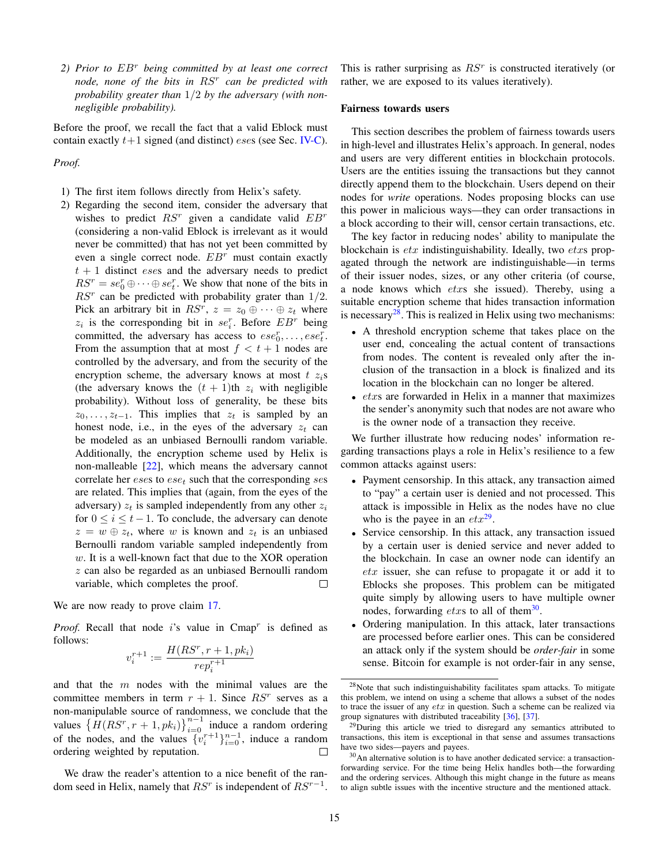*2) Prior to* EB<sup>r</sup> *being committed by at least one correct node, none of the bits in* RS<sup>r</sup> *can be predicted with probability greater than* 1/2 *by the adversary (with nonnegligible probability).*

Before the proof, we recall the fact that a valid Eblock must contain exactly  $t+1$  signed (and distinct) *eses* (see Sec. [IV-C\)](#page-8-1).

*Proof.*

- 1) The first item follows directly from Helix's safety.
- 2) Regarding the second item, consider the adversary that wishes to predict  $RS^r$  given a candidate valid  $EB^r$ (considering a non-valid Eblock is irrelevant as it would never be committed) that has not yet been committed by even a single correct node.  $EB<sup>r</sup>$  must contain exactly  $t + 1$  distinct *eses* and the adversary needs to predict  $RS^r = se_0^r \oplus \cdots \oplus se_t^r$ . We show that none of the bits in  $RS<sup>r</sup>$  can be predicted with probability grater than  $1/2$ . Pick an arbitrary bit in  $RS^r$ ,  $z = z_0 \oplus \cdots \oplus z_t$  where  $z_i$  is the corresponding bit in  $se_i^r$ . Before  $EB^r$  being committed, the adversary has access to  $ese_0^r, \ldots, ese_t^r$ . From the assumption that at most  $f < t + 1$  nodes are controlled by the adversary, and from the security of the encryption scheme, the adversary knows at most  $t \, z_i$ s (the adversary knows the  $(t + 1)$ th  $z_i$  with negligible probability). Without loss of generality, be these bits  $z_0, \ldots, z_{t-1}$ . This implies that  $z_t$  is sampled by an honest node, i.e., in the eyes of the adversary  $z_t$  can be modeled as an unbiased Bernoulli random variable. Additionally, the encryption scheme used by Helix is non-malleable [\[22\]](#page-21-21), which means the adversary cannot correlate her  $eses$  to  $ese_t$  such that the corresponding  $ses$ are related. This implies that (again, from the eyes of the adversary)  $z_t$  is sampled independently from any other  $z_i$ for  $0 \leq i \leq t-1$ . To conclude, the adversary can denote  $z = w \oplus z_t$ , where w is known and  $z_t$  is an unbiased Bernoulli random variable sampled independently from w. It is a well-known fact that due to the XOR operation z can also be regarded as an unbiased Bernoulli random variable, which completes the proof.  $\Box$

We are now ready to prove claim [17.](#page-13-2)

*Proof.* Recall that node  $i$ 's value in Cmap<sup>r</sup> is defined as follows:

$$
v_i^{r+1} := \frac{H(RS^r, r+1, pk_i)}{rep_i^{r+1}}
$$

and that the  $m$  nodes with the minimal values are the committee members in term  $r + 1$ . Since  $RS<sup>r</sup>$  serves as a non-manipulable source of randomness, we conclude that the values  $\left\{ \overline{H}(RS^r, r+1, pk_i) \right\}_{i=0}^{n-1}$  induce a random ordering of the nodes, and the values  $\{v_i^{r+1}\}_{i=0}^{n-1}$ , induce a random ordering weighted by reputation.

We draw the reader's attention to a nice benefit of the random seed in Helix, namely that  $RS<sup>r</sup>$  is independent of  $RS<sup>r-1</sup>$ .

This is rather surprising as  $RS<sup>r</sup>$  is constructed iteratively (or rather, we are exposed to its values iteratively).

## Fairness towards users

This section describes the problem of fairness towards users in high-level and illustrates Helix's approach. In general, nodes and users are very different entities in blockchain protocols. Users are the entities issuing the transactions but they cannot directly append them to the blockchain. Users depend on their nodes for *write* operations. Nodes proposing blocks can use this power in malicious ways—they can order transactions in a block according to their will, censor certain transactions, etc.

The key factor in reducing nodes' ability to manipulate the blockchain is  $\textit{etr}$  indistinguishability. Ideally, two  $\textit{etr}$  propagated through the network are indistinguishable—in terms of their issuer nodes, sizes, or any other criteria (of course, a node knows which etxs she issued). Thereby, using a suitable encryption scheme that hides transaction information is necessary $^{28}$  $^{28}$  $^{28}$ . This is realized in Helix using two mechanisms:

- A threshold encryption scheme that takes place on the user end, concealing the actual content of transactions from nodes. The content is revealed only after the inclusion of the transaction in a block is finalized and its location in the blockchain can no longer be altered.
- $\bullet$  etxs are forwarded in Helix in a manner that maximizes the sender's anonymity such that nodes are not aware who is the owner node of a transaction they receive.

We further illustrate how reducing nodes' information regarding transactions plays a role in Helix's resilience to a few common attacks against users:

- Payment censorship. In this attack, any transaction aimed to "pay" a certain user is denied and not processed. This attack is impossible in Helix as the nodes have no clue who is the payee in an  $\epsilon tx^{29}$  $\epsilon tx^{29}$  $\epsilon tx^{29}$ .
- Service censorship. In this attack, any transaction issued by a certain user is denied service and never added to the blockchain. In case an owner node can identify an  $etx$  issuer, she can refuse to propagate it or add it to Eblocks she proposes. This problem can be mitigated quite simply by allowing users to have multiple owner nodes, forwarding *etxs* to all of them<sup>[30](#page-14-2)</sup>.
- Ordering manipulation. In this attack, later transactions are processed before earlier ones. This can be considered an attack only if the system should be *order-fair* in some sense. Bitcoin for example is not order-fair in any sense,

<span id="page-14-0"></span> $28$ Note that such indistinguishability facilitates spam attacks. To mitigate this problem, we intend on using a scheme that allows a subset of the nodes to trace the issuer of any  $\epsilon tx$  in question. Such a scheme can be realized via group signatures with distributed traceability [\[36\]](#page-21-35), [\[37\]](#page-21-36).

<span id="page-14-1"></span><sup>&</sup>lt;sup>29</sup>During this article we tried to disregard any semantics attributed to transactions, this item is exceptional in that sense and assumes transactions have two sides—payers and payees.

<span id="page-14-2"></span> $30$ An alternative solution is to have another dedicated service: a transactionforwarding service. For the time being Helix handles both—the forwarding and the ordering services. Although this might change in the future as means to align subtle issues with the incentive structure and the mentioned attack.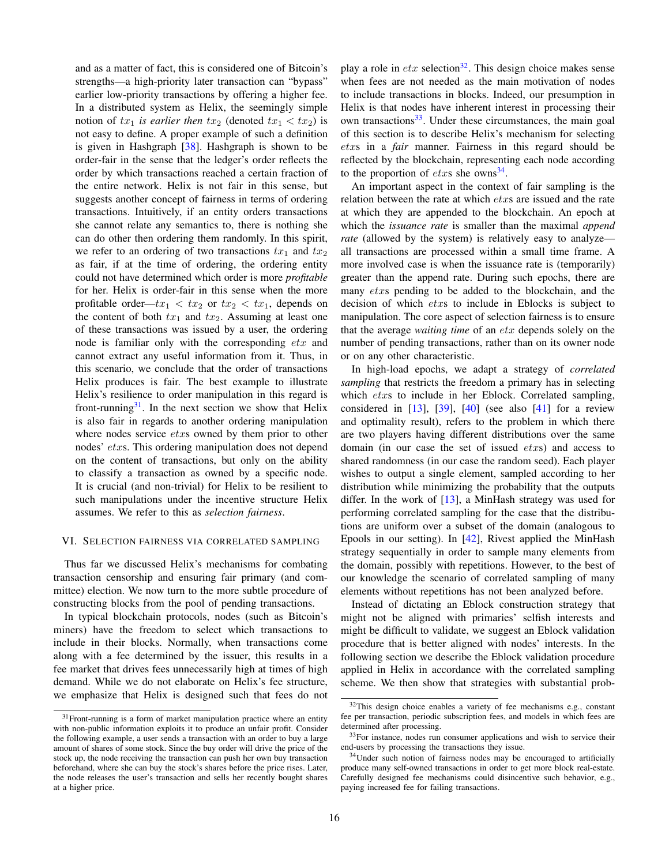and as a matter of fact, this is considered one of Bitcoin's strengths—a high-priority later transaction can "bypass" earlier low-priority transactions by offering a higher fee. In a distributed system as Helix, the seemingly simple notion of  $tx_1$  *is earlier then*  $tx_2$  (denoted  $tx_1 < tx_2$ ) is not easy to define. A proper example of such a definition is given in Hashgraph [\[38\]](#page-21-37). Hashgraph is shown to be order-fair in the sense that the ledger's order reflects the order by which transactions reached a certain fraction of the entire network. Helix is not fair in this sense, but suggests another concept of fairness in terms of ordering transactions. Intuitively, if an entity orders transactions she cannot relate any semantics to, there is nothing she can do other then ordering them randomly. In this spirit, we refer to an ordering of two transactions  $tx_1$  and  $tx_2$ as fair, if at the time of ordering, the ordering entity could not have determined which order is more *profitable* for her. Helix is order-fair in this sense when the more profitable order— $tx_1 < tx_2$  or  $tx_2 < tx_1$ , depends on the content of both  $tx_1$  and  $tx_2$ . Assuming at least one of these transactions was issued by a user, the ordering node is familiar only with the corresponding etx and cannot extract any useful information from it. Thus, in this scenario, we conclude that the order of transactions Helix produces is fair. The best example to illustrate Helix's resilience to order manipulation in this regard is front-running $31$ . In the next section we show that Helix is also fair in regards to another ordering manipulation where nodes service *etxs* owned by them prior to other nodes' etxs. This ordering manipulation does not depend on the content of transactions, but only on the ability to classify a transaction as owned by a specific node. It is crucial (and non-trivial) for Helix to be resilient to such manipulations under the incentive structure Helix assumes. We refer to this as *selection fairness*.

#### <span id="page-15-0"></span>VI. SELECTION FAIRNESS VIA CORRELATED SAMPLING

Thus far we discussed Helix's mechanisms for combating transaction censorship and ensuring fair primary (and committee) election. We now turn to the more subtle procedure of constructing blocks from the pool of pending transactions.

In typical blockchain protocols, nodes (such as Bitcoin's miners) have the freedom to select which transactions to include in their blocks. Normally, when transactions come along with a fee determined by the issuer, this results in a fee market that drives fees unnecessarily high at times of high demand. While we do not elaborate on Helix's fee structure, we emphasize that Helix is designed such that fees do not play a role in  $\textit{ctx}$  selection<sup>[32](#page-15-2)</sup>. This design choice makes sense when fees are not needed as the main motivation of nodes to include transactions in blocks. Indeed, our presumption in Helix is that nodes have inherent interest in processing their own transactions<sup>[33](#page-15-3)</sup>. Under these circumstances, the main goal of this section is to describe Helix's mechanism for selecting etxs in a *fair* manner. Fairness in this regard should be reflected by the blockchain, representing each node according to the proportion of  $\textit{etxs}$  she owns<sup>[34](#page-15-4)</sup>.

An important aspect in the context of fair sampling is the relation between the rate at which *etxs* are issued and the rate at which they are appended to the blockchain. An epoch at which the *issuance rate* is smaller than the maximal *append rate* (allowed by the system) is relatively easy to analyze all transactions are processed within a small time frame. A more involved case is when the issuance rate is (temporarily) greater than the append rate. During such epochs, there are many *etxs* pending to be added to the blockchain, and the decision of which etxs to include in Eblocks is subject to manipulation. The core aspect of selection fairness is to ensure that the average *waiting time* of an etx depends solely on the number of pending transactions, rather than on its owner node or on any other characteristic.

In high-load epochs, we adapt a strategy of *correlated sampling* that restricts the freedom a primary has in selecting which etxs to include in her Eblock. Correlated sampling, considered in  $[13]$ ,  $[39]$ ,  $[40]$  (see also  $[41]$  for a review and optimality result), refers to the problem in which there are two players having different distributions over the same domain (in our case the set of issued etxs) and access to shared randomness (in our case the random seed). Each player wishes to output a single element, sampled according to her distribution while minimizing the probability that the outputs differ. In the work of  $[13]$ , a MinHash strategy was used for performing correlated sampling for the case that the distributions are uniform over a subset of the domain (analogous to Epools in our setting). In [\[42\]](#page-21-41), Rivest applied the MinHash strategy sequentially in order to sample many elements from the domain, possibly with repetitions. However, to the best of our knowledge the scenario of correlated sampling of many elements without repetitions has not been analyzed before.

Instead of dictating an Eblock construction strategy that might not be aligned with primaries' selfish interests and might be difficult to validate, we suggest an Eblock validation procedure that is better aligned with nodes' interests. In the following section we describe the Eblock validation procedure applied in Helix in accordance with the correlated sampling scheme. We then show that strategies with substantial prob-

<span id="page-15-1"></span> $31$  Front-running is a form of market manipulation practice where an entity with non-public information exploits it to produce an unfair profit. Consider the following example, a user sends a transaction with an order to buy a large amount of shares of some stock. Since the buy order will drive the price of the stock up, the node receiving the transaction can push her own buy transaction beforehand, where she can buy the stock's shares before the price rises. Later, the node releases the user's transaction and sells her recently bought shares at a higher price.

<span id="page-15-2"></span><sup>&</sup>lt;sup>32</sup>This design choice enables a variety of fee mechanisms e.g., constant fee per transaction, periodic subscription fees, and models in which fees are determined after processing.

<span id="page-15-3"></span><sup>&</sup>lt;sup>33</sup>For instance, nodes run consumer applications and wish to service their end-users by processing the transactions they issue.

<span id="page-15-4"></span><sup>&</sup>lt;sup>34</sup>Under such notion of fairness nodes may be encouraged to artificially produce many self-owned transactions in order to get more block real-estate. Carefully designed fee mechanisms could disincentive such behavior, e.g., paying increased fee for failing transactions.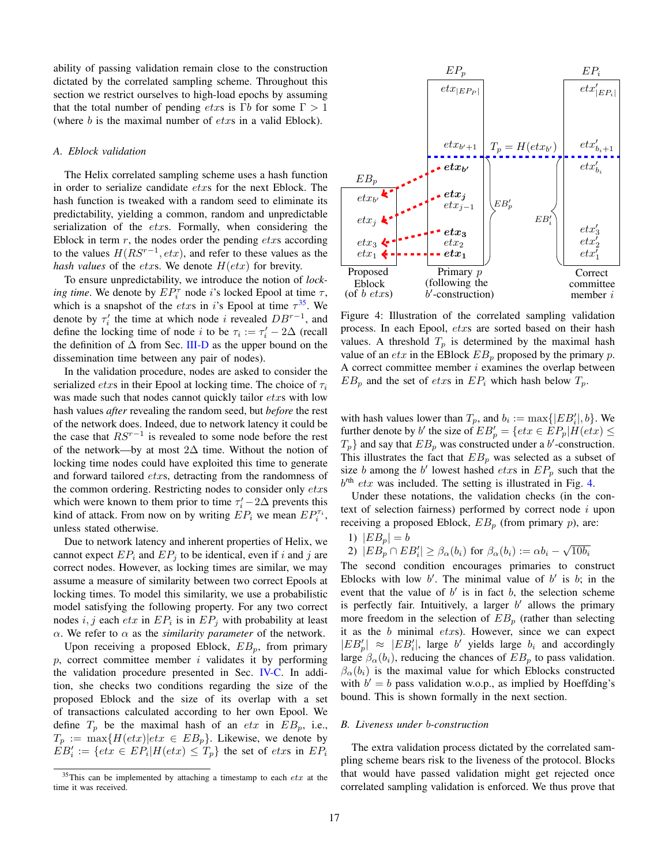ability of passing validation remain close to the construction dictated by the correlated sampling scheme. Throughout this section we restrict ourselves to high-load epochs by assuming that the total number of pending *etxs* is Γ*b* for some  $\Gamma > 1$ (where  $b$  is the maximal number of  $\acute{e}txs$  in a valid Eblock).

#### *A. Eblock validation*

The Helix correlated sampling scheme uses a hash function in order to serialize candidate etxs for the next Eblock. The hash function is tweaked with a random seed to eliminate its predictability, yielding a common, random and unpredictable serialization of the *etxs*. Formally, when considering the Eblock in term  $r$ , the nodes order the pending  $\textit{etxs}$  according to the values  $H(RS^{r-1}, \text{etr})$ , and refer to these values as the *hash values* of the *etxs*. We denote  $H(text)$  for brevity.

To ensure unpredictability, we introduce the notion of *locking time*. We denote by  $EP_i^{\tau}$  node *i*'s locked Epool at time  $\tau$ , which is a snapshot of the *etxs* in i's Epool at time  $\tau^{35}$  $\tau^{35}$  $\tau^{35}$ . We denote by  $\tau'_i$  the time at which node i revealed  $DB^{r-1}$ , and define the locking time of node *i* to be  $\tau_i := \tau'_i - 2\Delta$  (recall the definition of  $\Delta$  from Sec. [III-D](#page-4-5) as the upper bound on the dissemination time between any pair of nodes).

In the validation procedure, nodes are asked to consider the serialized *etxs* in their Epool at locking time. The choice of  $\tau_i$ was made such that nodes cannot quickly tailor *etxs* with low hash values *after* revealing the random seed, but *before* the rest of the network does. Indeed, due to network latency it could be the case that  $RS^{r-1}$  is revealed to some node before the rest of the network—by at most 2∆ time. Without the notion of locking time nodes could have exploited this time to generate and forward tailored *etxs*, detracting from the randomness of the common ordering. Restricting nodes to consider only etxs which were known to them prior to time  $\tau_i' - 2\Delta$  prevents this kind of attack. From now on by writing  $\overline{E}P_i$  we mean  $\overline{E}P_i^{\tau_i}$ , unless stated otherwise.

Due to network latency and inherent properties of Helix, we cannot expect  $EP_i$  and  $EP_j$  to be identical, even if i and j are correct nodes. However, as locking times are similar, we may assume a measure of similarity between two correct Epools at locking times. To model this similarity, we use a probabilistic model satisfying the following property. For any two correct nodes  $i, j$  each  $\epsilon tx$  in  $\epsilon P_i$  is in  $\epsilon P_j$  with probability at least  $\alpha$ . We refer to  $\alpha$  as the *similarity parameter* of the network.

Upon receiving a proposed Eblock,  $EB_p$ , from primary  $p$ , correct committee member  $i$  validates it by performing the validation procedure presented in Sec. [IV-C.](#page-8-1) In addition, she checks two conditions regarding the size of the proposed Eblock and the size of its overlap with a set of transactions calculated according to her own Epool. We define  $T_p$  be the maximal hash of an *etx* in  $EB_p$ , i.e.,  $T_p := \max\{H(text)|\text{et}x \in EB_p\}.$  Likewise, we denote by  $EB'_i := \{etx \in EP_i | H(etx) \leq T_p\}$  the set of  $etxs$  in  $EP_i$ 

<span id="page-16-1"></span>

Figure 4: Illustration of the correlated sampling validation process. In each Epool, etxs are sorted based on their hash values. A threshold  $T_p$  is determined by the maximal hash value of an  $\textit{etr}$  in the EBlock  $\textit{EB}_p$  proposed by the primary  $p$ . A correct committee member  $i$  examines the overlap between  $EB_p$  and the set of *etxs* in  $EP_i$  which hash below  $T_p$ .

with hash values lower than  $T_p$ , and  $b_i := \max\{|EB'_i|, b\}$ . We further denote by b' the size of  $EB'_p = \{etx \in EP_p | H(etx) \le$  $T_p$ } and say that  $EB_p$  was constructed under a b'-construction. This illustrates the fact that  $EB_p$  was selected as a subset of size b among the b' lowest hashed etxs in  $EP_p$  such that the  $b<sup>th</sup>$  etx was included. The setting is illustrated in Fig. [4.](#page-16-1)

Under these notations, the validation checks (in the context of selection fairness) performed by correct node  $i$  upon receiving a proposed Eblock,  $EB_p$  (from primary  $p$ ), are:

<span id="page-16-2"></span>1)  $|EB_p| = b$ 

<span id="page-16-3"></span>1) 
$$
|EB_p| = 0
$$
  
2)  $|EB_p \cap EB_i'| \ge \beta_\alpha(b_i)$  for  $\beta_\alpha(b_i) := \alpha b_i - \sqrt{10b_i}$ 

The second condition encourages primaries to construct Eblocks with low  $b'$ . The minimal value of  $b'$  is  $b$ ; in the event that the value of  $b'$  is in fact  $b$ , the selection scheme is perfectly fair. Intuitively, a larger  $b'$  allows the primary more freedom in the selection of  $EB_p$  (rather than selecting it as the  $b$  minimal  $\text{e}txs$ ). However, since we can expect  $|EB'_p| \approx |EB'_i|$ , large b' yields large  $b_i$  and accordingly large  $\beta_{\alpha}(b_i)$ , reducing the chances of  $EB_p$  to pass validation.  $\beta_{\alpha}(b_i)$  is the maximal value for which Eblocks constructed with  $b' = b$  pass validation w.o.p., as implied by Hoeffding's bound. This is shown formally in the next section.

## *B. Liveness under* b*-construction*

The extra validation process dictated by the correlated sampling scheme bears risk to the liveness of the protocol. Blocks that would have passed validation might get rejected once correlated sampling validation is enforced. We thus prove that

<span id="page-16-0"></span> $35$ This can be implemented by attaching a timestamp to each  $etx$  at the time it was received.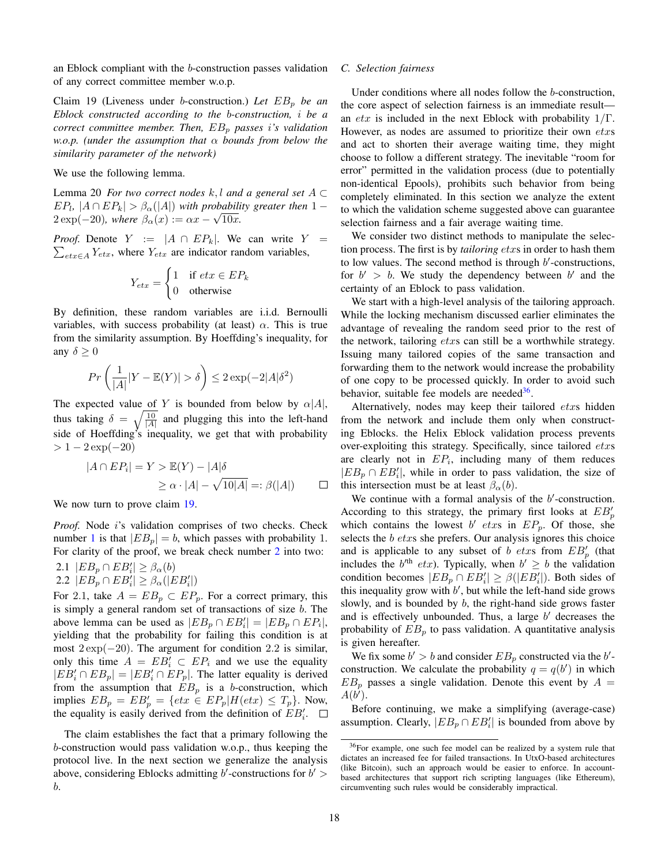an Eblock compliant with the b-construction passes validation of any correct committee member w.o.p.

<span id="page-17-0"></span>Claim 19 (Liveness under *b*-construction.) Let  $EB_p$  be an *Eblock constructed according to the* b*-construction,* i *be a correct committee member. Then,*  $EB_p$  *passes i's validation w.o.p. (under the assumption that* α *bounds from below the similarity parameter of the network)*

We use the following lemma.

Lemma 20 *For two correct nodes*  $k, l$  *and a general set*  $A \subset$  $E P_l$ ,  $|A \cap E P_k| > \beta_\alpha(|A|)$  *with probability greater then* 1 −  $2 \exp(-20)$ *, where*  $\beta_{\alpha}(x) := \alpha x - \sqrt{10x}$ *.* 

*Proof.* Denote  $Y := |A \cap EP_k|$ . We can write  $Y =$  $\sum_{\text{etr} \in A} Y_{\text{etr}}$ , where  $Y_{\text{etr}}$  are indicator random variables,

$$
Y_{\text{ctx}} = \begin{cases} 1 & \text{if } \text{ctx} \in EP_k \\ 0 & \text{otherwise} \end{cases}
$$

By definition, these random variables are i.i.d. Bernoulli variables, with success probability (at least)  $\alpha$ . This is true from the similarity assumption. By Hoeffding's inequality, for any  $\delta \geq 0$ 

$$
Pr\left(\frac{1}{|A|}|Y - \mathbb{E}(Y)| > \delta\right) \le 2\exp(-2|A|\delta^2)
$$

The expected value of Y is bounded from below by  $\alpha |A|$ , thus taking  $\delta = \sqrt{\frac{10}{|A|}}$  and plugging this into the left-hand side of Hoeffding's inequality, we get that with probability  $> 1-2 \exp(-20)$ 

$$
|A \cap EP_i| = Y > \mathbb{E}(Y) - |A|\delta
$$
  
\n
$$
\geq \alpha \cdot |A| - \sqrt{10|A|} =: \beta(|A|) \qquad \Box
$$

We now turn to prove claim [19.](#page-17-0)

*Proof.* Node i's validation comprises of two checks. Check number [1](#page-16-2) is that  $|EB_p| = b$ , which passes with probability 1. For clarity of the proof, we break check number [2](#page-16-3) into two:

2.1 
$$
|EB_p \cap EB'_i| \geq \beta_\alpha(b)
$$
  
2.2  $|EB_p \cap EB'_i| \geq \beta_\alpha(|EB'_i|)$ 

For 2.1, take  $A = EB_p \subset EP_p$ . For a correct primary, this is simply a general random set of transactions of size b. The above lemma can be used as  $|EB_p \cap EB_i'| = |EB_p \cap EP_i|$ , yielding that the probability for failing this condition is at most  $2 \exp(-20)$ . The argument for condition 2.2 is similar, only this time  $A = EB'_i \subset EP_i$  and we use the equality  $|EB'_{i} \cap EB_{p}| = |EB'_{i} \cap EP_{p}|$ . The latter equality is derived from the assumption that  $EB_p$  is a b-construction, which implies  $EB_p = EB'_p = \{etx \in EP_p | H(etx) \leq T_p\}$ . Now, the equality is easily derived from the definition of  $EB'_i$ .

The claim establishes the fact that a primary following the b-construction would pass validation w.o.p., thus keeping the protocol live. In the next section we generalize the analysis above, considering Eblocks admitting  $b'$ -constructions for  $b' >$ b.

## *C. Selection fairness*

Under conditions where all nodes follow the b-construction, the core aspect of selection fairness is an immediate result an *etx* is included in the next Eblock with probability  $1/\Gamma$ . However, as nodes are assumed to prioritize their own etxs and act to shorten their average waiting time, they might choose to follow a different strategy. The inevitable "room for error" permitted in the validation process (due to potentially non-identical Epools), prohibits such behavior from being completely eliminated. In this section we analyze the extent to which the validation scheme suggested above can guarantee selection fairness and a fair average waiting time.

We consider two distinct methods to manipulate the selection process. The first is by *tailoring* etxs in order to hash them to low values. The second method is through  $b'$ -constructions, for  $b' > b$ . We study the dependency between  $b'$  and the certainty of an Eblock to pass validation.

We start with a high-level analysis of the tailoring approach. While the locking mechanism discussed earlier eliminates the advantage of revealing the random seed prior to the rest of the network, tailoring  $\acute{e}txs$  can still be a worthwhile strategy. Issuing many tailored copies of the same transaction and forwarding them to the network would increase the probability of one copy to be processed quickly. In order to avoid such behavior, suitable fee models are needed<sup>[36](#page-17-1)</sup>.

Alternatively, nodes may keep their tailored etxs hidden from the network and include them only when constructing Eblocks. the Helix Eblock validation process prevents over-exploiting this strategy. Specifically, since tailored etxs are clearly not in  $EP_i$ , including many of them reduces  $|EB_p \cap EB_i'|$ , while in order to pass validation, the size of this intersection must be at least  $\beta_{\alpha}(b)$ .

We continue with a formal analysis of the  $b'$ -construction. According to this strategy, the primary first looks at  $EB_p'$ which contains the lowest b' etxs in  $EP_p$ . Of those, she selects the *b* etxs she prefers. Our analysis ignores this choice and is applicable to any subset of b etxs from  $EB'_{p}$  (that includes the  $b'^{th}$  etx). Typically, when  $b' \geq b$  the validation condition becomes  $|EB_p \cap EB_i'| \geq \beta(|EB_i'|)$ . Both sides of this inequality grow with  $b'$ , but while the left-hand side grows slowly, and is bounded by  $b$ , the right-hand side grows faster and is effectively unbounded. Thus, a large  $b'$  decreases the probability of  $EB_p$  to pass validation. A quantitative analysis is given hereafter.

We fix some  $b' > b$  and consider  $EB_p$  constructed via the  $b'$ construction. We calculate the probability  $q = q(b')$  in which  $EB<sub>n</sub>$  passes a single validation. Denote this event by  $A =$  $A(b^i)$ .

Before continuing, we make a simplifying (average-case) assumption. Clearly,  $|EB_p \cap EB_i'|$  is bounded from above by

<span id="page-17-1"></span><sup>36</sup>For example, one such fee model can be realized by a system rule that dictates an increased fee for failed transactions. In UtxO-based architectures (like Bitcoin), such an approach would be easier to enforce. In accountbased architectures that support rich scripting languages (like Ethereum), circumventing such rules would be considerably impractical.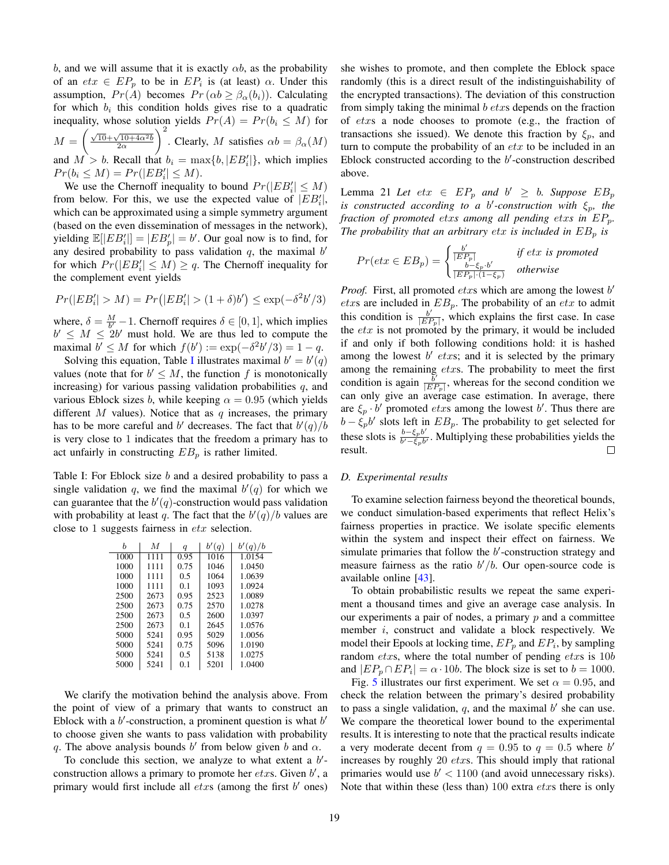b, and we will assume that it is exactly  $\alpha b$ , as the probability of an  $ext{et} x \in EP_p$  to be in  $EP_i$  is (at least)  $\alpha$ . Under this assumption,  $Pr(A)$  becomes  $Pr(\alpha b \ge \beta_{\alpha}(b_i))$ . Calculating for which  $b_i$  this condition holds gives rise to a quadratic inequality, whose solution yields  $Pr(A) = Pr(b_i \leq M)$  for  $M = \left(\frac{\sqrt{10} + \sqrt{10 + 4\alpha^2b}}{2\alpha}\right)$ )<sup>2</sup>. Clearly, *M* satisfies  $\alpha b = \beta_{\alpha}(M)$ and  $M > b$ . Recall that  $b_i = \max\{b, |EB'_i|\}$ , which implies  $Pr(b_i \leq M) = Pr(|EB'_i| \leq M).$ 

We use the Chernoff inequality to bound  $Pr(|EB'_{i}| \leq M)$ from below. For this, we use the expected value of  $|EB'_i|$ , which can be approximated using a simple symmetry argument (based on the even dissemination of messages in the network), yielding  $\mathbb{E}[|EB'_i|] = |EB'_p| = b'$ . Our goal now is to find, for any desired probability to pass validation  $q$ , the maximal  $b'$ for which  $Pr(|EB'_{i}| \leq M) \geq q$ . The Chernoff inequality for the complement event yields

$$
Pr(|EB'_{i}| > M) = Pr(|EB'_{i}| > (1 + \delta)b') \le \exp(-\delta^{2}b'/3)
$$

where,  $\delta = \frac{M}{b'} - 1$ . Chernoff requires  $\delta \in [0, 1]$ , which implies  $b' \leq M \leq 2b'$  must hold. We are thus led to compute the maximal  $b' \leq M$  for which  $f(b') := \exp(-\delta^2 b'/3) = 1 - q$ .

Solving this equation, Table [I](#page-18-0) illustrates maximal  $b' = b'(q)$ values (note that for  $b' \leq M$ , the function f is monotonically increasing) for various passing validation probabilities  $q$ , and various Eblock sizes b, while keeping  $\alpha = 0.95$  (which yields different  $M$  values). Notice that as  $q$  increases, the primary has to be more careful and b' decreases. The fact that  $b'(q)/b$ is very close to 1 indicates that the freedom a primary has to act unfairly in constructing  $EB<sub>n</sub>$  is rather limited.

<span id="page-18-0"></span>Table I: For Eblock size b and a desired probability to pass a single validation q, we find the maximal  $b'(q)$  for which we can guarantee that the  $b'(q)$ -construction would pass validation with probability at least q. The fact that the  $b'(q)/b$  values are close to 1 suggests fairness in etx selection.

| Ь    | M    | q    | b'(q) | b'(q)/b |
|------|------|------|-------|---------|
| 1000 | 1111 | 0.95 | 1016  | 1.0154  |
| 1000 | 1111 | 0.75 | 1046  | 1.0450  |
| 1000 | 1111 | 0.5  | 1064  | 1.0639  |
| 1000 | 1111 | 0.1  | 1093  | 1.0924  |
| 2500 | 2673 | 0.95 | 2523  | 1.0089  |
| 2500 | 2673 | 0.75 | 2570  | 1.0278  |
| 2500 | 2673 | 0.5  | 2600  | 1.0397  |
| 2500 | 2673 | 0.1  | 2645  | 1.0576  |
| 5000 | 5241 | 0.95 | 5029  | 1.0056  |
| 5000 | 5241 | 0.75 | 5096  | 1.0190  |
| 5000 | 5241 | 0.5  | 5138  | 1.0275  |
| 5000 | 5241 | 0.1  | 5201  | 1.0400  |

We clarify the motivation behind the analysis above. From the point of view of a primary that wants to construct an Eblock with a  $b'$ -construction, a prominent question is what  $b'$ to choose given she wants to pass validation with probability q. The above analysis bounds  $b'$  from below given b and  $\alpha$ .

To conclude this section, we analyze to what extent a  $b'$ construction allows a primary to promote her  $\acute{e}txs$ . Given  $b'$ , a primary would first include all  $\textit{ctx}$  (among the first  $b'$  ones) she wishes to promote, and then complete the Eblock space randomly (this is a direct result of the indistinguishability of the encrypted transactions). The deviation of this construction from simply taking the minimal  $b$  etxs depends on the fraction of etxs a node chooses to promote (e.g., the fraction of transactions she issued). We denote this fraction by  $\xi_p$ , and turn to compute the probability of an  $\textit{etr}$  to be included in an Eblock constructed according to the  $b'$ -construction described above.

<span id="page-18-1"></span>Lemma 21 *Let*  $ext{ } \in EP_p$  *and*  $b' \geq b$ *. Suppose*  $EB_p$ *is constructed according to a b'-construction with*  $\xi_p$ , the *fraction of promoted* etx*s among all pending* etx*s in* EPp*. The probability that an arbitrary etx is included in*  $EB_p$  *is* 

$$
Pr(text \in EB_p) = \begin{cases} \frac{b'}{|EP_p|} & \text{if } ext \text{ is promoted} \\ \frac{b-\xi_p \cdot b'}{|EP_p| \cdot (1-\xi_p)} & \text{otherwise} \end{cases}
$$

*Proof.* First, all promoted  $\text{dx}$ s which are among the lowest  $b'$ etxs are included in  $EB_p$ . The probability of an etx to admit this condition is  $\frac{b'}{\sqrt{E E}}$  $\frac{b'}{|EP_p|}$ , which explains the first case. In case the  $etx$  is not promoted by the primary, it would be included if and only if both following conditions hold: it is hashed among the lowest  $b'$  etxs; and it is selected by the primary among the remaining  $\textit{ctxs}$ . The probability to meet the first condition is again  $\frac{\overline{b}'}{E E}$  $\frac{b'}{|EP_p|}$ , whereas for the second condition we can only give an average case estimation. In average, there are  $\xi_p \cdot b'$  promoted *etxs* among the lowest b'. Thus there are  $b - \xi_p b'$  slots left in  $EB_p$ . The probability to get selected for these slots is  $\frac{b-\xi_p b'}{b'-\xi_b}$  $\frac{\partial - \xi_p \partial}{\partial \theta' - \xi_p b'}$ . Multiplying these probabilities yields the result.  $\Box$ 

### *D. Experimental results*

To examine selection fairness beyond the theoretical bounds, we conduct simulation-based experiments that reflect Helix's fairness properties in practice. We isolate specific elements within the system and inspect their effect on fairness. We simulate primaries that follow the  $b'$ -construction strategy and measure fairness as the ratio  $b'/b$ . Our open-source code is available online [\[43\]](#page-21-42).

To obtain probabilistic results we repeat the same experiment a thousand times and give an average case analysis. In our experiments a pair of nodes, a primary  $p$  and a committee member i, construct and validate a block respectively. We model their Epools at locking time,  $EP_p$  and  $EP_i$ , by sampling random  $\textit{ctxs}$ , where the total number of pending  $\textit{ctxs}$  is  $10b$ and  $|EP_p \cap EP_i| = \alpha \cdot 10b$ . The block size is set to  $b = 1000$ .

Fig. [5](#page-19-1) illustrates our first experiment. We set  $\alpha = 0.95$ , and check the relation between the primary's desired probability to pass a single validation,  $q$ , and the maximal  $b'$  she can use. We compare the theoretical lower bound to the experimental results. It is interesting to note that the practical results indicate a very moderate decent from  $q = 0.95$  to  $q = 0.5$  where b' increases by roughly 20 *etxs*. This should imply that rational primaries would use  $b' < 1100$  (and avoid unnecessary risks). Note that within these (less than)  $100$  extra  $\textit{etxs}$  there is only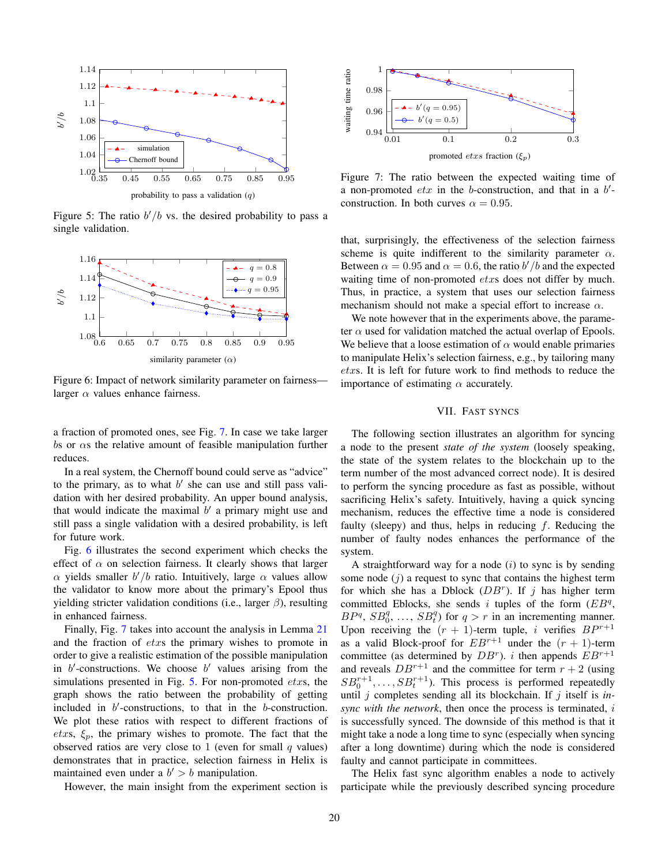<span id="page-19-1"></span>

Figure 5: The ratio  $b'/b$  vs. the desired probability to pass a single validation.

<span id="page-19-3"></span>

Figure 6: Impact of network similarity parameter on fairness larger  $\alpha$  values enhance fairness.

a fraction of promoted ones, see Fig. [7.](#page-19-2) In case we take larger bs or  $\alpha$ s the relative amount of feasible manipulation further reduces.

In a real system, the Chernoff bound could serve as "advice" to the primary, as to what  $b'$  she can use and still pass validation with her desired probability. An upper bound analysis, that would indicate the maximal  $b'$  a primary might use and still pass a single validation with a desired probability, is left for future work.

Fig. [6](#page-19-3) illustrates the second experiment which checks the effect of  $\alpha$  on selection fairness. It clearly shows that larger  $\alpha$  yields smaller  $b'/b$  ratio. Intuitively, large  $\alpha$  values allow the validator to know more about the primary's Epool thus yielding stricter validation conditions (i.e., larger  $\beta$ ), resulting in enhanced fairness.

Finally, Fig. [7](#page-19-2) takes into account the analysis in Lemma [21](#page-18-1) and the fraction of etxs the primary wishes to promote in order to give a realistic estimation of the possible manipulation in  $b'$ -constructions. We choose  $b'$  values arising from the simulations presented in Fig.  $5$ . For non-promoted *etxs*, the graph shows the ratio between the probability of getting included in  $b'$ -constructions, to that in the  $b$ -construction. We plot these ratios with respect to different fractions of etxs,  $\xi_p$ , the primary wishes to promote. The fact that the observed ratios are very close to 1 (even for small  $q$  values) demonstrates that in practice, selection fairness in Helix is maintained even under a  $b' > b$  manipulation.

However, the main insight from the experiment section is

<span id="page-19-2"></span>

Figure 7: The ratio between the expected waiting time of a non-promoted  $etx$  in the b-construction, and that in a  $b'$ construction. In both curves  $\alpha = 0.95$ .

that, surprisingly, the effectiveness of the selection fairness scheme is quite indifferent to the similarity parameter  $\alpha$ . Between  $\alpha = 0.95$  and  $\alpha = 0.6$ , the ratio  $b'/b$  and the expected waiting time of non-promoted *etxs* does not differ by much. Thus, in practice, a system that uses our selection fairness mechanism should not make a special effort to increase  $\alpha$ .

We note however that in the experiments above, the parameter  $\alpha$  used for validation matched the actual overlap of Epools. We believe that a loose estimation of  $\alpha$  would enable primaries to manipulate Helix's selection fairness, e.g., by tailoring many etxs. It is left for future work to find methods to reduce the importance of estimating  $\alpha$  accurately.

## VII. FAST SYNCS

<span id="page-19-0"></span>The following section illustrates an algorithm for syncing a node to the present *state of the system* (loosely speaking, the state of the system relates to the blockchain up to the term number of the most advanced correct node). It is desired to perform the syncing procedure as fast as possible, without sacrificing Helix's safety. Intuitively, having a quick syncing mechanism, reduces the effective time a node is considered faulty (sleepy) and thus, helps in reducing  $f$ . Reducing the number of faulty nodes enhances the performance of the system.

A straightforward way for a node  $(i)$  to sync is by sending some node  $(j)$  a request to sync that contains the highest term for which she has a Dblock  $(DB<sup>r</sup>)$ . If j has higher term committed Eblocks, she sends i tuples of the form  $(EB<sup>q</sup>)$ ,  $BP^q$ ,  $SB_0^q$ , ...,  $SB_t^q$ ) for  $q > r$  in an incrementing manner. Upon receiving the  $(r + 1)$ -term tuple, i verifies  $BP^{r+1}$ as a valid Block-proof for  $EB^{r+1}$  under the  $(r + 1)$ -term committee (as determined by  $DB^r$ ). i then appends  $EB^{r+1}$ and reveals  $DB^{r+1}$  and the committee for term  $r + 2$  (using  $SB_0^{r+1}, \ldots, SB_t^{r+1}$ ). This process is performed repeatedly until  $j$  completes sending all its blockchain. If  $j$  itself is  $in$ *sync with the network*, then once the process is terminated, i is successfully synced. The downside of this method is that it might take a node a long time to sync (especially when syncing after a long downtime) during which the node is considered faulty and cannot participate in committees.

The Helix fast sync algorithm enables a node to actively participate while the previously described syncing procedure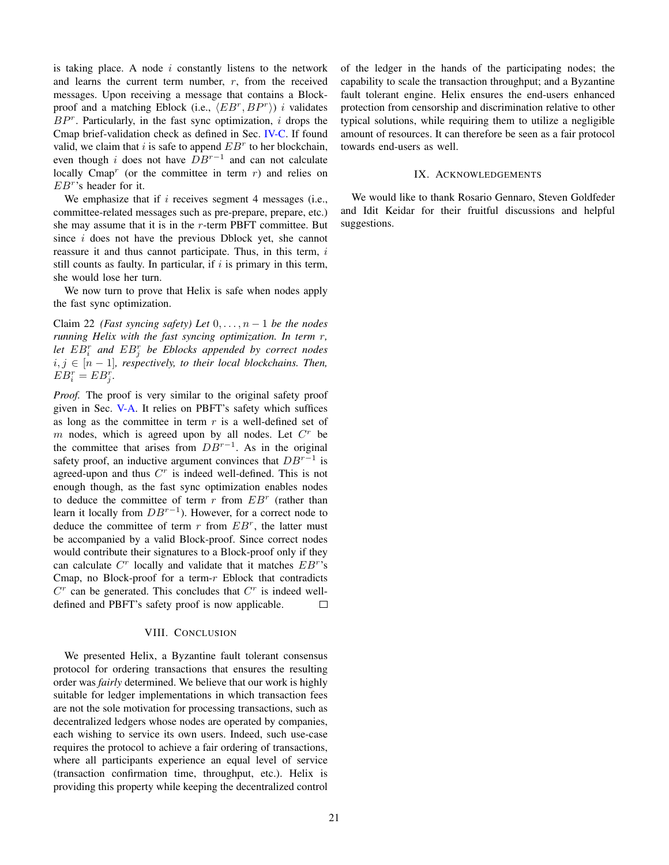is taking place. A node  $i$  constantly listens to the network and learns the current term number,  $r$ , from the received messages. Upon receiving a message that contains a Blockproof and a matching Eblock (i.e.,  $\langle EB^r, BP^r \rangle$ ) i validates  $BP<sup>r</sup>$ . Particularly, in the fast sync optimization, i drops the Cmap brief-validation check as defined in Sec. [IV-C.](#page-7-0) If found valid, we claim that i is safe to append  $EB<sup>r</sup>$  to her blockchain, even though i does not have  $DB^{r-1}$  and can not calculate locally Cmap<sup>r</sup> (or the committee in term  $r$ ) and relies on  $EB<sup>r</sup>$ 's header for it.

We emphasize that if  $i$  receives segment 4 messages (i.e., committee-related messages such as pre-prepare, prepare, etc.) she may assume that it is in the  $r$ -term PBFT committee. But since  $i$  does not have the previous Dblock yet, she cannot reassure it and thus cannot participate. Thus, in this term,  $i$ still counts as faulty. In particular, if  $i$  is primary in this term, she would lose her turn.

We now turn to prove that Helix is safe when nodes apply the fast sync optimization.

Claim 22 *(Fast syncing safety) Let*  $0, \ldots, n-1$  *be the nodes running Helix with the fast syncing optimization. In term* r*, let* EB<sup>r</sup> i *and* EB<sup>r</sup> j *be Eblocks appended by correct nodes*  $i, j \in [n-1]$ , respectively, to their local blockchains. Then,  $EB_i^r = EB_j^r.$ 

*Proof.* The proof is very similar to the original safety proof given in Sec. [V-A.](#page-11-1) It relies on PBFT's safety which suffices as long as the committee in term  $r$  is a well-defined set of  $m$  nodes, which is agreed upon by all nodes. Let  $C<sup>r</sup>$  be the committee that arises from  $DB^{r-1}$ . As in the original safety proof, an inductive argument convinces that  $DB^{r-1}$  is agreed-upon and thus  $C<sup>r</sup>$  is indeed well-defined. This is not enough though, as the fast sync optimization enables nodes to deduce the committee of term  $r$  from  $EB<sup>r</sup>$  (rather than learn it locally from  $DB^{r-1}$ ). However, for a correct node to deduce the committee of term  $r$  from  $EB^r$ , the latter must be accompanied by a valid Block-proof. Since correct nodes would contribute their signatures to a Block-proof only if they can calculate  $C<sup>r</sup>$  locally and validate that it matches  $EB<sup>r</sup>$ 's Cmap, no Block-proof for a term- $r$  Eblock that contradicts  $C<sup>r</sup>$  can be generated. This concludes that  $C<sup>r</sup>$  is indeed welldefined and PBFT's safety proof is now applicable.  $\Box$ 

## VIII. CONCLUSION

We presented Helix, a Byzantine fault tolerant consensus protocol for ordering transactions that ensures the resulting order was *fairly* determined. We believe that our work is highly suitable for ledger implementations in which transaction fees are not the sole motivation for processing transactions, such as decentralized ledgers whose nodes are operated by companies, each wishing to service its own users. Indeed, such use-case requires the protocol to achieve a fair ordering of transactions, where all participants experience an equal level of service (transaction confirmation time, throughput, etc.). Helix is providing this property while keeping the decentralized control of the ledger in the hands of the participating nodes; the capability to scale the transaction throughput; and a Byzantine fault tolerant engine. Helix ensures the end-users enhanced protection from censorship and discrimination relative to other typical solutions, while requiring them to utilize a negligible amount of resources. It can therefore be seen as a fair protocol towards end-users as well.

# IX. ACKNOWLEDGEMENTS

We would like to thank Rosario Gennaro, Steven Goldfeder and Idit Keidar for their fruitful discussions and helpful suggestions.